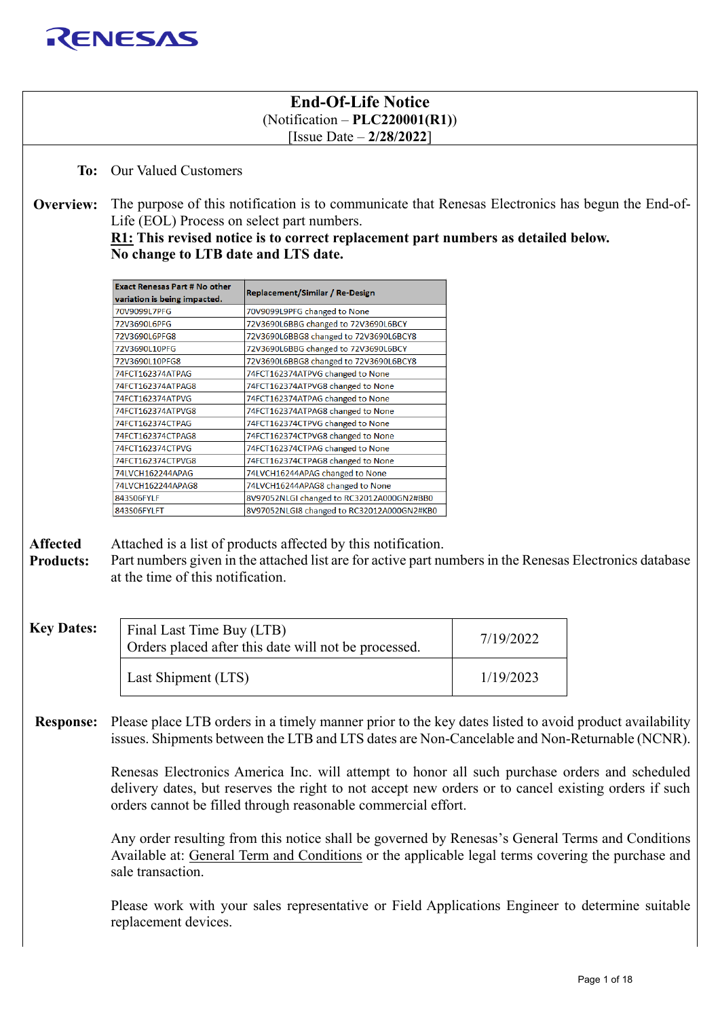

## **End-Of-Life Notice** (Notification – **PLC220001(R1)**) [Issue Date – **2/28/2022**]

**To:** Our Valued Customers

**Overview:** The purpose of this notification is to communicate that Renesas Electronics has begun the End-of-Life (EOL) Process on select part numbers.

## **R1: This revised notice is to correct replacement part numbers as detailed below. No change to LTB date and LTS date.**

| <b>Exact Renesas Part # No other</b> | Replacement/Similar / Re-Design            |  |  |  |
|--------------------------------------|--------------------------------------------|--|--|--|
| variation is being impacted.         |                                            |  |  |  |
| 70V9099L7PFG                         | 70V9099L9PFG changed to None               |  |  |  |
| 72V3690L6PFG                         | 72V3690L6BBG changed to 72V3690L6BCY       |  |  |  |
| 72V3690L6PFG8                        | 72V3690L6BBG8 changed to 72V3690L6BCY8     |  |  |  |
| 72V3690L10PFG                        | 72V3690L6BBG changed to 72V3690L6BCY       |  |  |  |
| 72V3690L10PFG8                       | 72V3690L6BBG8 changed to 72V3690L6BCY8     |  |  |  |
| 74FCT162374ATPAG                     | 74FCT162374ATPVG changed to None           |  |  |  |
| 74FCT162374ATPAG8                    | 74FCT162374ATPVG8 changed to None          |  |  |  |
| 74FCT162374ATPVG                     | 74FCT162374ATPAG changed to None           |  |  |  |
| 74FCT162374ATPVG8                    | 74FCT162374ATPAG8 changed to None          |  |  |  |
| 74FCT162374CTPAG                     | 74FCT162374CTPVG changed to None           |  |  |  |
| 74FCT162374CTPAG8                    | 74FCT162374CTPVG8 changed to None          |  |  |  |
| 74FCT162374CTPVG                     | 74FCT162374CTPAG changed to None           |  |  |  |
| 74FCT162374CTPVG8                    | 74FCT162374CTPAG8 changed to None          |  |  |  |
| 74LVCH162244APAG                     | 74LVCH16244APAG changed to None            |  |  |  |
| 74LVCH162244APAG8                    | 74LVCH16244APAG8 changed to None           |  |  |  |
| 843S06FYLF                           | 8V97052NLGI changed to RC32012A000GN2#BB0  |  |  |  |
| 843S06FYLFT                          | 8V97052NLGI8 changed to RC32012A000GN2#KB0 |  |  |  |

**Affected**  Attached is a list of products affected by this notification.

**Products:** Part numbers given in the attached list are for active part numbers in the Renesas Electronics database at the time of this notification.

| <b>Key Dates:</b> | Final Last Time Buy (LTB)<br>Orders placed after this date will not be processed. | 7/19/2022 |
|-------------------|-----------------------------------------------------------------------------------|-----------|
|                   | Last Shipment (LTS)                                                               | 1/19/2023 |

**Response:** Please place LTB orders in a timely manner prior to the key dates listed to avoid product availability issues. Shipments between the LTB and LTS dates are Non-Cancelable and Non-Returnable (NCNR).

> Renesas Electronics America Inc. will attempt to honor all such purchase orders and scheduled delivery dates, but reserves the right to not accept new orders or to cancel existing orders if such orders cannot be filled through reasonable commercial effort.

> Any order resulting from this notice shall be governed by Renesas's General Terms and Conditions Available at: [General Term and Conditions](https://www.renesas.com/us/en/terms-and-conditions) or the applicable legal terms covering the purchase and sale transaction.

> Please work with your sales representative or Field Applications Engineer to determine suitable replacement devices.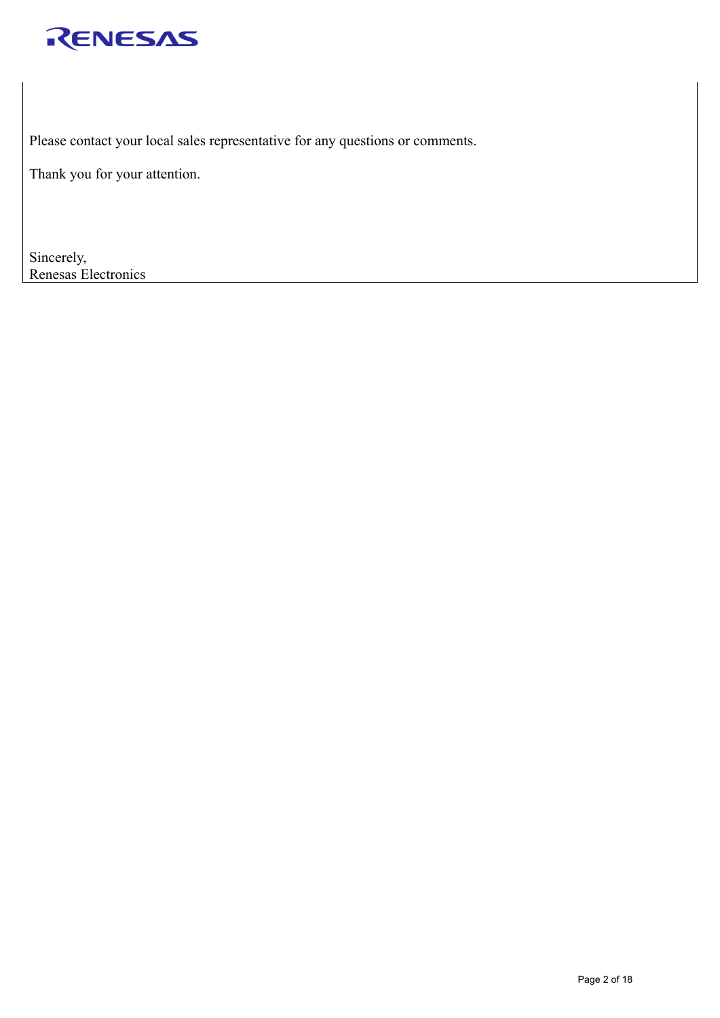

Please contact your local sales representative for any questions or comments.

Thank you for your attention.

Sincerely, Renesas Electronics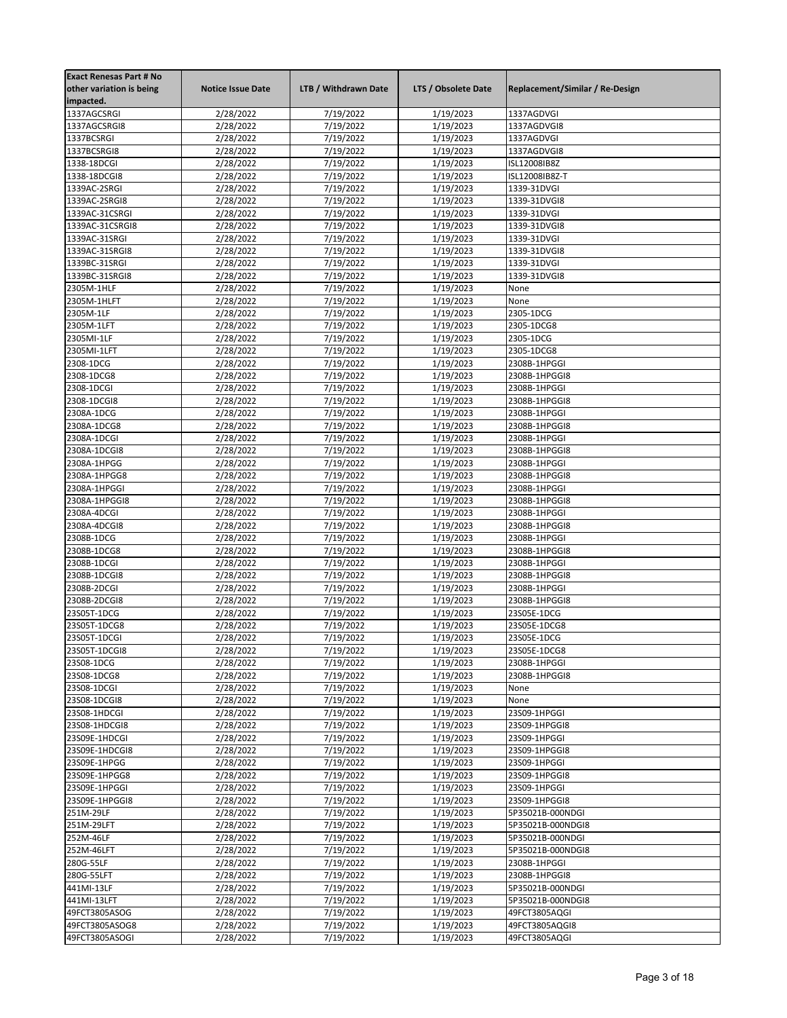| <b>Exact Renesas Part # No</b> |                          |                      |                     |                                 |
|--------------------------------|--------------------------|----------------------|---------------------|---------------------------------|
| other variation is being       | <b>Notice Issue Date</b> | LTB / Withdrawn Date | LTS / Obsolete Date | Replacement/Similar / Re-Design |
| impacted.                      |                          |                      |                     |                                 |
| 1337AGCSRGI                    | 2/28/2022                | 7/19/2022            | 1/19/2023           | 1337AGDVGI                      |
| 1337AGCSRGI8                   | 2/28/2022                | 7/19/2022            | 1/19/2023           | 1337AGDVGI8                     |
| 1337BCSRGI                     | 2/28/2022                | 7/19/2022            | 1/19/2023           | 1337AGDVGI                      |
| 1337BCSRGI8                    | 2/28/2022                | 7/19/2022            | 1/19/2023           | 1337AGDVGI8                     |
| 1338-18DCGI                    | 2/28/2022                | 7/19/2022            | 1/19/2023           | ISL12008IB8Z                    |
| 1338-18DCGI8                   | 2/28/2022                | 7/19/2022            | 1/19/2023           | ISL12008IB8Z-T                  |
| 1339AC-2SRGI                   | 2/28/2022                | 7/19/2022            | 1/19/2023           | 1339-31DVGI                     |
| 1339AC-2SRGI8                  | 2/28/2022                | 7/19/2022            | 1/19/2023           | 1339-31DVGI8                    |
| 1339AC-31CSRGI                 | 2/28/2022                | 7/19/2022            | 1/19/2023           | 1339-31DVGI                     |
| 1339AC-31CSRGI8                | 2/28/2022                | 7/19/2022            | 1/19/2023           | 1339-31DVGI8                    |
| 1339AC-31SRGI                  | 2/28/2022                | 7/19/2022            | 1/19/2023           | 1339-31DVGI                     |
| 1339AC-31SRGI8                 | 2/28/2022                | 7/19/2022            | 1/19/2023           | 1339-31DVGI8                    |
| 1339BC-31SRGI                  | 2/28/2022                | 7/19/2022            | 1/19/2023           | 1339-31DVGI                     |
| 1339BC-31SRGI8                 | 2/28/2022                | 7/19/2022            | 1/19/2023           | 1339-31DVGI8                    |
| 2305M-1HLF                     | 2/28/2022                | 7/19/2022            | 1/19/2023           | None                            |
| 2305M-1HLFT                    | 2/28/2022                | 7/19/2022            | 1/19/2023           | None                            |
| 2305M-1LF                      | 2/28/2022                | 7/19/2022            | 1/19/2023           | 2305-1DCG                       |
| 2305M-1LFT                     | 2/28/2022                | 7/19/2022            | 1/19/2023           | 2305-1DCG8                      |
| 2305MI-1LF                     | 2/28/2022                | 7/19/2022            | 1/19/2023           | 2305-1DCG                       |
| 2305MI-1LFT                    | 2/28/2022                | 7/19/2022            | 1/19/2023           | 2305-1DCG8                      |
| 2308-1DCG                      | 2/28/2022                | 7/19/2022            | 1/19/2023           | 2308B-1HPGGI                    |
| 2308-1DCG8                     | 2/28/2022                | 7/19/2022            | 1/19/2023           | 2308B-1HPGGI8                   |
| 2308-1DCGI                     | 2/28/2022                | 7/19/2022            | 1/19/2023           | 2308B-1HPGGI                    |
| 2308-1DCGI8                    | 2/28/2022                | 7/19/2022            | 1/19/2023           | 2308B-1HPGGI8                   |
| 2308A-1DCG                     |                          | 7/19/2022            |                     | 2308B-1HPGGI                    |
|                                | 2/28/2022                |                      | 1/19/2023           |                                 |
| 2308A-1DCG8                    | 2/28/2022                | 7/19/2022            | 1/19/2023           | 2308B-1HPGGI8                   |
| 2308A-1DCGI                    | 2/28/2022                | 7/19/2022            | 1/19/2023           | 2308B-1HPGGI                    |
| 2308A-1DCGI8                   | 2/28/2022                | 7/19/2022            | 1/19/2023           | 2308B-1HPGGI8                   |
| 2308A-1HPGG                    | 2/28/2022                | 7/19/2022            | 1/19/2023           | 2308B-1HPGGI                    |
| 2308A-1HPGG8                   | 2/28/2022                | 7/19/2022            | 1/19/2023           | 2308B-1HPGGI8                   |
| 2308A-1HPGGI                   | 2/28/2022                | 7/19/2022            | 1/19/2023           | 2308B-1HPGGI                    |
| 2308A-1HPGGI8                  | 2/28/2022                | 7/19/2022            | 1/19/2023           | 2308B-1HPGGI8                   |
| 2308A-4DCGI                    | 2/28/2022                | 7/19/2022            | 1/19/2023           | 2308B-1HPGGI                    |
| 2308A-4DCGI8                   | 2/28/2022                | 7/19/2022            | 1/19/2023           | 2308B-1HPGGI8                   |
| 2308B-1DCG                     | 2/28/2022                | 7/19/2022            | 1/19/2023           | 2308B-1HPGGI                    |
| 2308B-1DCG8                    | 2/28/2022                | 7/19/2022            | 1/19/2023           | 2308B-1HPGGI8                   |
| 2308B-1DCGI                    | 2/28/2022                | 7/19/2022            | 1/19/2023           | 2308B-1HPGGI                    |
| 2308B-1DCGI8                   | 2/28/2022                | 7/19/2022            | 1/19/2023           | 2308B-1HPGGI8                   |
| 2308B-2DCGI                    | 2/28/2022                | 7/19/2022            | 1/19/2023           | 2308B-1HPGGI                    |
| 2308B-2DCGI8                   | 2/28/2022                | 7/19/2022            | 1/19/2023           | 2308B-1HPGGI8                   |
| 23S05T-1DCG                    | 2/28/2022                | 7/19/2022            | 1/19/2023           | 23S05E-1DCG                     |
| 23S05T-1DCG8                   | 2/28/2022                | 7/19/2022            | 1/19/2023           | 23S05E-1DCG8                    |
| 23S05T-1DCGI                   | 2/28/2022                | 7/19/2022            | 1/19/2023           | 23S05E-1DCG                     |
| 23S05T-1DCGI8                  | 2/28/2022                | 7/19/2022            | 1/19/2023           | 23S05E-1DCG8                    |
| 23S08-1DCG                     | 2/28/2022                | 7/19/2022            | 1/19/2023           | 2308B-1HPGGI                    |
| 23S08-1DCG8                    | 2/28/2022                | 7/19/2022            | 1/19/2023           | 2308B-1HPGGI8                   |
| 23S08-1DCGI                    | 2/28/2022                | 7/19/2022            | 1/19/2023           | None                            |
| 23S08-1DCGI8                   | 2/28/2022                | 7/19/2022            | 1/19/2023           | None                            |
| 23S08-1HDCGI                   | 2/28/2022                | 7/19/2022            | 1/19/2023           | 23S09-1HPGGI                    |
| 23S08-1HDCGI8                  | 2/28/2022                | 7/19/2022            | 1/19/2023           | 23S09-1HPGGI8                   |
| 23S09E-1HDCGI                  | 2/28/2022                | 7/19/2022            | 1/19/2023           | 23S09-1HPGGI                    |
| 23S09E-1HDCGI8                 | 2/28/2022                | 7/19/2022            | 1/19/2023           | 23S09-1HPGGI8                   |
| 23S09E-1HPGG                   | 2/28/2022                | 7/19/2022            | 1/19/2023           | 23S09-1HPGGI                    |
| 23S09E-1HPGG8                  | 2/28/2022                | 7/19/2022            | 1/19/2023           | 23S09-1HPGGI8                   |
| 23S09E-1HPGGI                  | 2/28/2022                | 7/19/2022            | 1/19/2023           | 23S09-1HPGGI                    |
| 23S09E-1HPGGI8                 | 2/28/2022                | 7/19/2022            | 1/19/2023           | 23S09-1HPGGI8                   |
| 251M-29LF                      | 2/28/2022                | 7/19/2022            | 1/19/2023           | 5P35021B-000NDGI                |
| 251M-29LFT                     | 2/28/2022                | 7/19/2022            | 1/19/2023           | 5P35021B-000NDGI8               |
| 252M-46LF                      | 2/28/2022                | 7/19/2022            | 1/19/2023           | 5P35021B-000NDGI                |
| 252M-46LFT                     | 2/28/2022                | 7/19/2022            | 1/19/2023           | 5P35021B-000NDGI8               |
| 280G-55LF                      | 2/28/2022                | 7/19/2022            | 1/19/2023           | 2308B-1HPGGI                    |
| 280G-55LFT                     | 2/28/2022                | 7/19/2022            | 1/19/2023           | 2308B-1HPGGI8                   |
| 441MI-13LF                     | 2/28/2022                | 7/19/2022            | 1/19/2023           | 5P35021B-000NDGI                |
| 441MI-13LFT                    | 2/28/2022                | 7/19/2022            | 1/19/2023           | 5P35021B-000NDGI8               |
| 49FCT3805ASOG                  | 2/28/2022                | 7/19/2022            | 1/19/2023           | 49FCT3805AQGI                   |
| 49FCT3805ASOG8                 | 2/28/2022                | 7/19/2022            | 1/19/2023           | 49FCT3805AQGI8                  |
| 49FCT3805ASOGI                 | 2/28/2022                | 7/19/2022            | 1/19/2023           | 49FCT3805AQGI                   |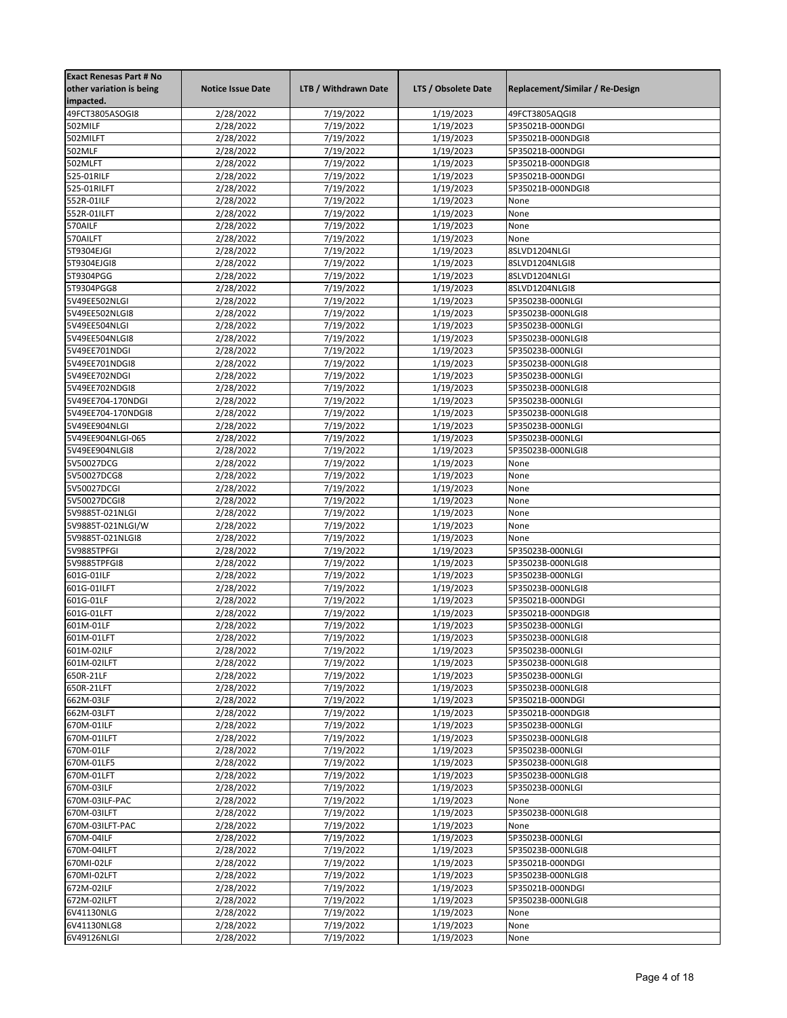| <b>Exact Renesas Part # No</b><br>other variation is being<br>impacted. | <b>Notice Issue Date</b> | LTB / Withdrawn Date   | LTS / Obsolete Date    | Replacement/Similar / Re-Design       |
|-------------------------------------------------------------------------|--------------------------|------------------------|------------------------|---------------------------------------|
| 49FCT3805ASOGI8                                                         | 2/28/2022                | 7/19/2022              | 1/19/2023              | 49FCT3805AQGI8                        |
| 502MILF                                                                 | 2/28/2022                | 7/19/2022              | 1/19/2023              | 5P35021B-000NDGI                      |
| 502MILFT                                                                | 2/28/2022                | 7/19/2022              | 1/19/2023              | 5P35021B-000NDGI8                     |
| 502MLF                                                                  | 2/28/2022                | 7/19/2022              | 1/19/2023              | 5P35021B-000NDGI                      |
| 502MLFT                                                                 | 2/28/2022                | 7/19/2022              | 1/19/2023              | 5P35021B-000NDGI8                     |
| 525-01RILF                                                              | 2/28/2022                | 7/19/2022              | 1/19/2023              | 5P35021B-000NDGI                      |
| 525-01RILFT                                                             | 2/28/2022                | 7/19/2022              | 1/19/2023              | 5P35021B-000NDGI8                     |
| 552R-01ILF                                                              | 2/28/2022                | 7/19/2022              | 1/19/2023              | None                                  |
| 552R-01ILFT                                                             | 2/28/2022                | 7/19/2022              | 1/19/2023              | None                                  |
| 570AILF                                                                 | 2/28/2022                | 7/19/2022              | 1/19/2023              | None                                  |
| 570AILFT                                                                | 2/28/2022                | 7/19/2022              | 1/19/2023              | None                                  |
| 5T9304EJGI                                                              | 2/28/2022                | 7/19/2022              | 1/19/2023              | 8SLVD1204NLGI                         |
| 5T9304EJGI8                                                             | 2/28/2022                | 7/19/2022              | 1/19/2023              | 8SLVD1204NLGI8                        |
| 5T9304PGG                                                               | 2/28/2022                | 7/19/2022              | 1/19/2023              | 8SLVD1204NLGI                         |
| 5T9304PGG8                                                              | 2/28/2022                | 7/19/2022              | 1/19/2023              | 8SLVD1204NLGI8                        |
| 5V49EE502NLGI                                                           | 2/28/2022                | 7/19/2022              | 1/19/2023              | 5P35023B-000NLGI                      |
| 5V49EE502NLGI8                                                          | 2/28/2022                | 7/19/2022              | 1/19/2023              | 5P35023B-000NLGI8                     |
| 5V49EE504NLGI                                                           | 2/28/2022                | 7/19/2022              | 1/19/2023              | 5P35023B-000NLGI                      |
| 5V49EE504NLGI8                                                          | 2/28/2022                | 7/19/2022              | 1/19/2023              | 5P35023B-000NLGI8                     |
| 5V49EE701NDGI<br>5V49EE701NDGI8                                         | 2/28/2022<br>2/28/2022   | 7/19/2022<br>7/19/2022 | 1/19/2023<br>1/19/2023 | 5P35023B-000NLGI<br>5P35023B-000NLGI8 |
| 5V49EE702NDGI                                                           | 2/28/2022                | 7/19/2022              | 1/19/2023              | 5P35023B-000NLGI                      |
| 5V49EE702NDGI8                                                          | 2/28/2022                | 7/19/2022              | 1/19/2023              | 5P35023B-000NLGI8                     |
| 5V49EE704-170NDGI                                                       | 2/28/2022                | 7/19/2022              | 1/19/2023              | 5P35023B-000NLGI                      |
| 5V49EE704-170NDGI8                                                      | 2/28/2022                | 7/19/2022              | 1/19/2023              | 5P35023B-000NLGI8                     |
| 5V49EE904NLGI                                                           | 2/28/2022                | 7/19/2022              | 1/19/2023              | 5P35023B-000NLGI                      |
| 5V49EE904NLGI-065                                                       | 2/28/2022                | 7/19/2022              | 1/19/2023              | 5P35023B-000NLGI                      |
| 5V49EE904NLGI8                                                          | 2/28/2022                | 7/19/2022              | 1/19/2023              | 5P35023B-000NLGI8                     |
| 5V50027DCG                                                              | 2/28/2022                | 7/19/2022              | 1/19/2023              | None                                  |
| 5V50027DCG8                                                             | 2/28/2022                | 7/19/2022              | 1/19/2023              | None                                  |
| 5V50027DCGI                                                             | 2/28/2022                | 7/19/2022              | 1/19/2023              | None                                  |
| 5V50027DCGI8                                                            | 2/28/2022                | 7/19/2022              | 1/19/2023              | None                                  |
| 5V9885T-021NLGI                                                         | 2/28/2022                | 7/19/2022              | 1/19/2023              | None                                  |
| 5V9885T-021NLGI/W                                                       | 2/28/2022                | 7/19/2022              | 1/19/2023              | None                                  |
| 5V9885T-021NLGI8                                                        | 2/28/2022                | 7/19/2022              | 1/19/2023              | None                                  |
| 5V9885TPFGI                                                             | 2/28/2022                | 7/19/2022              | 1/19/2023              | 5P35023B-000NLGI                      |
| 5V9885TPFGI8                                                            | 2/28/2022                | 7/19/2022              | 1/19/2023              | 5P35023B-000NLGI8                     |
| 601G-01ILF                                                              | 2/28/2022                | 7/19/2022              | 1/19/2023              | 5P35023B-000NLGI                      |
| 601G-01ILFT                                                             | 2/28/2022                | 7/19/2022              | 1/19/2023              | 5P35023B-000NLGI8                     |
| 601G-01LF                                                               | 2/28/2022                | 7/19/2022              | 1/19/2023              | 5P35021B-000NDGI                      |
| 601G-01LFT                                                              | 2/28/2022                | 7/19/2022              | 1/19/2023              | 5P35021B-000NDGI8                     |
| 601M-01LF                                                               | 2/28/2022                | 7/19/2022              | 1/19/2023              | 5P35023B-000NLGI                      |
| 601M-01LFT                                                              | 2/28/2022                | 7/19/2022              | 1/19/2023              | 5P35023B-000NLGI8                     |
| 601M-02ILF                                                              | 2/28/2022                | 7/19/2022              | 1/19/2023              | 5P35023B-000NLGI                      |
| 601M-02ILFT                                                             | 2/28/2022                | 7/19/2022              | 1/19/2023              | 5P35023B-000NLGI8                     |
| 650R-21LF                                                               | 2/28/2022                | 7/19/2022              | 1/19/2023              | 5P35023B-000NLGI                      |
| 650R-21LFT                                                              | 2/28/2022                | 7/19/2022              | 1/19/2023              | 5P35023B-000NLGI8                     |
| 662M-03LF                                                               | 2/28/2022                | 7/19/2022              | 1/19/2023              | 5P35021B-000NDGI                      |
| 662M-03LFT                                                              | 2/28/2022                | 7/19/2022              | 1/19/2023              | 5P35021B-000NDGI8                     |
| 670M-01ILF                                                              | 2/28/2022                | 7/19/2022              | 1/19/2023              | 5P35023B-000NLGI<br>5P35023B-000NLGI8 |
| 670M-01ILFT<br>670M-01LF                                                | 2/28/2022<br>2/28/2022   | 7/19/2022<br>7/19/2022 | 1/19/2023<br>1/19/2023 | 5P35023B-000NLGI                      |
| 670M-01LF5                                                              |                          | 7/19/2022              | 1/19/2023              | 5P35023B-000NLGI8                     |
| 670M-01LFT                                                              | 2/28/2022<br>2/28/2022   | 7/19/2022              | 1/19/2023              | 5P35023B-000NLGI8                     |
| 670M-03ILF                                                              | 2/28/2022                | 7/19/2022              | 1/19/2023              | 5P35023B-000NLGI                      |
| 670M-03ILF-PAC                                                          | 2/28/2022                | 7/19/2022              | 1/19/2023              | None                                  |
| 670M-03ILFT                                                             | 2/28/2022                | 7/19/2022              | 1/19/2023              | 5P35023B-000NLGI8                     |
| 670M-03ILFT-PAC                                                         | 2/28/2022                | 7/19/2022              | 1/19/2023              | None                                  |
| 670M-04ILF                                                              | 2/28/2022                | 7/19/2022              | 1/19/2023              | 5P35023B-000NLGI                      |
| 670M-04ILFT                                                             | 2/28/2022                | 7/19/2022              | 1/19/2023              | 5P35023B-000NLGI8                     |
| 670MI-02LF                                                              | 2/28/2022                | 7/19/2022              | 1/19/2023              | 5P35021B-000NDGI                      |
| 670MI-02LFT                                                             | 2/28/2022                | 7/19/2022              | 1/19/2023              | 5P35023B-000NLGI8                     |
| 672M-02ILF                                                              | 2/28/2022                | 7/19/2022              | 1/19/2023              | 5P35021B-000NDGI                      |
| 672M-02ILFT                                                             | 2/28/2022                | 7/19/2022              | 1/19/2023              | 5P35023B-000NLGI8                     |
| 6V41130NLG                                                              | 2/28/2022                | 7/19/2022              | 1/19/2023              | None                                  |
| 6V41130NLG8                                                             | 2/28/2022                | 7/19/2022              | 1/19/2023              | None                                  |
| 6V49126NLGI                                                             | 2/28/2022                | 7/19/2022              | 1/19/2023              | None                                  |
|                                                                         |                          |                        |                        |                                       |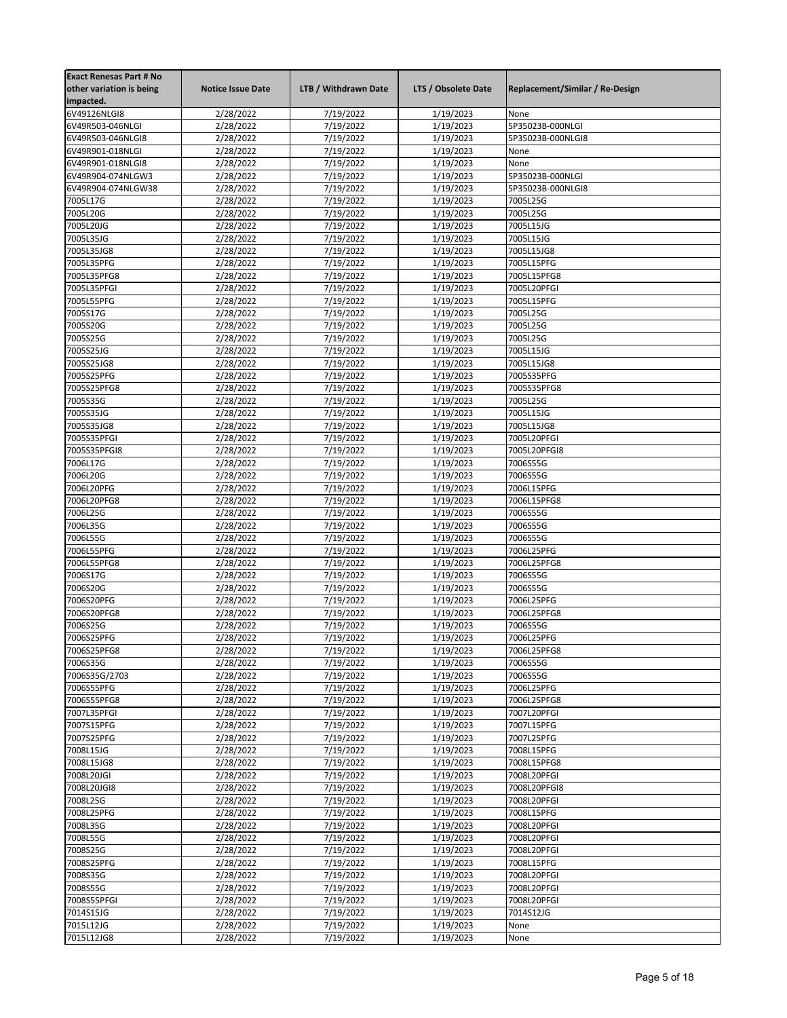| <b>Exact Renesas Part # No</b> |                          |                      |                     |                                 |
|--------------------------------|--------------------------|----------------------|---------------------|---------------------------------|
| other variation is being       | <b>Notice Issue Date</b> | LTB / Withdrawn Date | LTS / Obsolete Date | Replacement/Similar / Re-Design |
| impacted.                      |                          |                      |                     |                                 |
| 6V49126NLGI8                   | 2/28/2022                | 7/19/2022            | 1/19/2023           | None                            |
| 6V49R503-046NLGI               | 2/28/2022                | 7/19/2022            | 1/19/2023           | 5P35023B-000NLGI                |
| 6V49R503-046NLGI8              | 2/28/2022                | 7/19/2022            | 1/19/2023           | 5P35023B-000NLGI8               |
| 6V49R901-018NLGI               | 2/28/2022                | 7/19/2022            | 1/19/2023           | None                            |
| 6V49R901-018NLGI8              | 2/28/2022                | 7/19/2022            | 1/19/2023           | None                            |
| 6V49R904-074NLGW3              | 2/28/2022                | 7/19/2022            | 1/19/2023           | 5P35023B-000NLGI                |
| 6V49R904-074NLGW38             | 2/28/2022                | 7/19/2022            | 1/19/2023           | 5P35023B-000NLGI8               |
| 7005L17G                       | 2/28/2022                | 7/19/2022            | 1/19/2023           | 7005L25G                        |
| 7005L20G                       | 2/28/2022                | 7/19/2022            | 1/19/2023           | 7005L25G                        |
| 7005L20JG                      | 2/28/2022                | 7/19/2022            | 1/19/2023           | 7005L15JG                       |
| 7005L35JG                      | 2/28/2022                | 7/19/2022            | 1/19/2023           | 7005L15JG                       |
| 7005L35JG8                     | 2/28/2022                | 7/19/2022            | 1/19/2023           | 7005L15JG8                      |
| 7005L35PFG                     | 2/28/2022                | 7/19/2022            | 1/19/2023           | 7005L15PFG                      |
| 7005L35PFG8                    | 2/28/2022                | 7/19/2022            | 1/19/2023           | 7005L15PFG8                     |
| 7005L35PFGI                    | 2/28/2022                | 7/19/2022            | 1/19/2023           | 7005L20PFGI                     |
| 7005L55PFG                     | 2/28/2022                | 7/19/2022            | 1/19/2023           | 7005L15PFG                      |
| 7005S17G                       | 2/28/2022                | 7/19/2022            | 1/19/2023           | 7005L25G                        |
| 7005S20G                       | 2/28/2022                | 7/19/2022            | 1/19/2023           | 7005L25G                        |
| 7005S25G                       | 2/28/2022                | 7/19/2022            | 1/19/2023           | 7005L25G                        |
| 7005S25JG                      | 2/28/2022                | 7/19/2022            | 1/19/2023           | 7005L15JG                       |
| 7005S25JG8                     | 2/28/2022                | 7/19/2022            | 1/19/2023           | 7005L15JG8                      |
| 7005S25PFG                     | 2/28/2022                | 7/19/2022            | 1/19/2023           | 7005S35PFG                      |
| 7005S25PFG8                    | 2/28/2022                | 7/19/2022            | 1/19/2023           | 7005S35PFG8                     |
| 7005S35G                       | 2/28/2022                | 7/19/2022            | 1/19/2023           | 7005L25G                        |
| 7005S35JG                      | 2/28/2022                | 7/19/2022            | 1/19/2023           | 7005L15JG                       |
| 7005S35JG8                     | 2/28/2022                | 7/19/2022            | 1/19/2023           | 7005L15JG8                      |
| 7005S35PFGI                    | 2/28/2022                | 7/19/2022            | 1/19/2023           | 7005L20PFGI                     |
| 7005S35PFGI8                   | 2/28/2022                | 7/19/2022            | 1/19/2023           | 7005L20PFGI8                    |
| 7006L17G                       | 2/28/2022                | 7/19/2022            | 1/19/2023           | 7006S55G                        |
| 7006L20G                       | 2/28/2022                | 7/19/2022            | 1/19/2023           | 7006S55G                        |
| 7006L20PFG                     | 2/28/2022                | 7/19/2022            | 1/19/2023           | 7006L15PFG                      |
| 7006L20PFG8                    | 2/28/2022                | 7/19/2022            | 1/19/2023           | 7006L15PFG8                     |
| 7006L25G                       | 2/28/2022                | 7/19/2022            | 1/19/2023           | 7006S55G                        |
| 7006L35G                       | 2/28/2022                | 7/19/2022            | 1/19/2023           | 7006S55G                        |
| 7006L55G                       | 2/28/2022                | 7/19/2022            | 1/19/2023           | 7006S55G                        |
| 7006L55PFG                     | 2/28/2022                | 7/19/2022            | 1/19/2023           | 7006L25PFG                      |
| 7006L55PFG8                    | 2/28/2022                | 7/19/2022            | 1/19/2023           | 7006L25PFG8                     |
| 7006S17G                       | 2/28/2022                | 7/19/2022            | 1/19/2023           | 7006S55G                        |
| 7006S20G                       | 2/28/2022                | 7/19/2022            | 1/19/2023           | 7006S55G                        |
| 7006S20PFG                     | 2/28/2022                | 7/19/2022            | 1/19/2023           | 7006L25PFG                      |
| 7006S20PFG8                    | 2/28/2022                | 7/19/2022            | 1/19/2023           | 7006L25PFG8                     |
| 7006S25G                       | 2/28/2022                | 7/19/2022            | 1/19/2023           | 7006S55G                        |
| 7006S25PFG                     | 2/28/2022                | 7/19/2022            | 1/19/2023           | 7006L25PFG                      |
| 7006S25PFG8                    | 2/28/2022                | 7/19/2022            | 1/19/2023           | 7006L25PFG8                     |
| 7006S35G                       | 2/28/2022                | 7/19/2022            | 1/19/2023           | 7006S55G                        |
| 7006S35G/2703                  | 2/28/2022                | 7/19/2022            | 1/19/2023           | 7006S55G                        |
| 7006S55PFG                     | 2/28/2022                | 7/19/2022            | 1/19/2023           | 7006L25PFG                      |
| 7006S55PFG8                    | 2/28/2022                | 7/19/2022            | 1/19/2023           | 7006L25PFG8                     |
| 7007L35PFGI                    | 2/28/2022                | 7/19/2022            | 1/19/2023           | 7007L20PFGI                     |
| 7007S15PFG                     | 2/28/2022                | 7/19/2022            | 1/19/2023           | 7007L15PFG                      |
| 7007S25PFG                     | 2/28/2022                | 7/19/2022            | 1/19/2023           | 7007L25PFG                      |
| 7008L15JG                      | 2/28/2022                | 7/19/2022            | 1/19/2023           | 7008L15PFG                      |
| 7008L15JG8                     | 2/28/2022                | 7/19/2022            | 1/19/2023           | 7008L15PFG8                     |
| 7008L20JGI                     | 2/28/2022                | 7/19/2022            | 1/19/2023           | 7008L20PFGI                     |
| 7008L20JGI8                    | 2/28/2022                | 7/19/2022            | 1/19/2023           | 7008L20PFGI8                    |
| 7008L25G                       | 2/28/2022                | 7/19/2022            | 1/19/2023           | 7008L20PFGI                     |
| 7008L25PFG                     | 2/28/2022                | 7/19/2022            | 1/19/2023           | 7008L15PFG                      |
| 7008L35G                       | 2/28/2022                | 7/19/2022            | 1/19/2023           | 7008L20PFGI                     |
| 7008L55G                       | 2/28/2022                | 7/19/2022            | 1/19/2023           | 7008L20PFGI                     |
| 7008S25G                       | 2/28/2022                | 7/19/2022            | 1/19/2023           | 7008L20PFGI                     |
| 7008S25PFG                     | 2/28/2022                | 7/19/2022            | 1/19/2023           | 7008L15PFG                      |
| 7008S35G                       | 2/28/2022                | 7/19/2022            | 1/19/2023           | 7008L20PFGI                     |
| 7008S55G                       | 2/28/2022                | 7/19/2022            | 1/19/2023           | 7008L20PFGI                     |
| 7008S55PFGI                    | 2/28/2022                | 7/19/2022            | 1/19/2023           | 7008L20PFGI                     |
| 7014S15JG                      | 2/28/2022                | 7/19/2022            | 1/19/2023           | 7014S12JG                       |
| 7015L12JG                      | 2/28/2022                | 7/19/2022            | 1/19/2023           | None                            |
| 7015L12JG8                     | 2/28/2022                | 7/19/2022            | 1/19/2023           | None                            |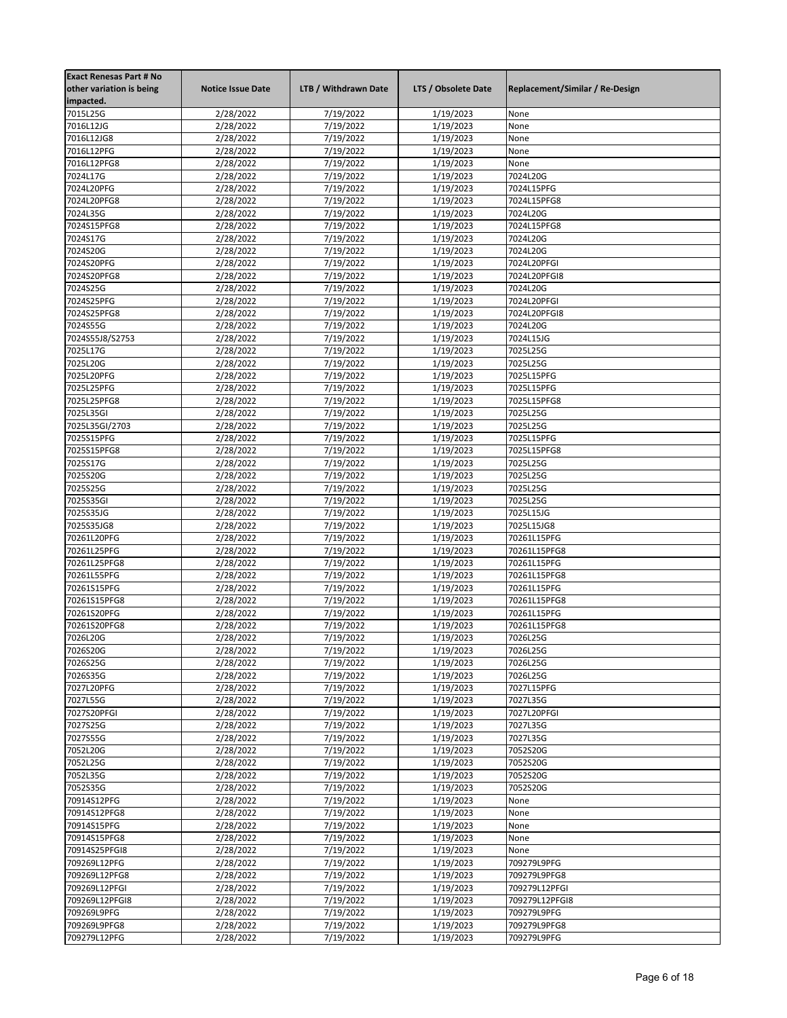| <b>Exact Renesas Part # No</b><br>other variation is being<br>impacted. | <b>Notice Issue Date</b> | LTB / Withdrawn Date   | LTS / Obsolete Date    | Replacement/Similar / Re-Design |
|-------------------------------------------------------------------------|--------------------------|------------------------|------------------------|---------------------------------|
| 7015L25G                                                                | 2/28/2022                | 7/19/2022              | 1/19/2023              | None                            |
| 7016L12JG                                                               | 2/28/2022                | 7/19/2022              | 1/19/2023              | None                            |
| 7016L12JG8                                                              | 2/28/2022                | 7/19/2022              | 1/19/2023              | None                            |
| 7016L12PFG                                                              | 2/28/2022                | 7/19/2022              | 1/19/2023              | None                            |
| 7016L12PFG8                                                             | 2/28/2022                | 7/19/2022              | 1/19/2023              | None                            |
| 7024L17G                                                                | 2/28/2022                | 7/19/2022              | 1/19/2023              | 7024L20G                        |
| 7024L20PFG                                                              | 2/28/2022                | 7/19/2022              | 1/19/2023              | 7024L15PFG                      |
| 7024L20PFG8                                                             | 2/28/2022                | 7/19/2022              | 1/19/2023              | 7024L15PFG8                     |
| 7024L35G                                                                | 2/28/2022                | 7/19/2022              | 1/19/2023              | 7024L20G                        |
| 7024S15PFG8                                                             | 2/28/2022                | 7/19/2022              | 1/19/2023              | 7024L15PFG8                     |
| 7024S17G                                                                | 2/28/2022                | 7/19/2022              | 1/19/2023              | 7024L20G                        |
| 7024S20G                                                                | 2/28/2022                | 7/19/2022              | 1/19/2023              | 7024L20G                        |
| 7024S20PFG<br>7024S20PFG8                                               | 2/28/2022<br>2/28/2022   | 7/19/2022<br>7/19/2022 | 1/19/2023<br>1/19/2023 | 7024L20PFGI<br>7024L20PFGI8     |
| 7024S25G                                                                | 2/28/2022                | 7/19/2022              | 1/19/2023              | 7024L20G                        |
| 7024S25PFG                                                              | 2/28/2022                | 7/19/2022              | 1/19/2023              | 7024L20PFGI                     |
| 7024S25PFG8                                                             | 2/28/2022                | 7/19/2022              | 1/19/2023              | 7024L20PFGI8                    |
| 7024S55G                                                                | 2/28/2022                | 7/19/2022              | 1/19/2023              | 7024L20G                        |
| 7024S55J8/S2753                                                         | 2/28/2022                | 7/19/2022              | 1/19/2023              | 7024L15JG                       |
| 7025L17G                                                                | 2/28/2022                | 7/19/2022              | 1/19/2023              | 7025L25G                        |
| 7025L20G                                                                | 2/28/2022                | 7/19/2022              | 1/19/2023              | 7025L25G                        |
| 7025L20PFG                                                              | 2/28/2022                | 7/19/2022              | 1/19/2023              | 7025L15PFG                      |
| 7025L25PFG                                                              | 2/28/2022                | 7/19/2022              | 1/19/2023              | 7025L15PFG                      |
| 7025L25PFG8                                                             | 2/28/2022                | 7/19/2022              | 1/19/2023              | 7025L15PFG8                     |
| 7025L35GI                                                               | 2/28/2022                | 7/19/2022              | 1/19/2023              | 7025L25G                        |
| 7025L35GI/2703                                                          | 2/28/2022                | 7/19/2022              | 1/19/2023              | 7025L25G                        |
| 7025S15PFG                                                              | 2/28/2022                | 7/19/2022              | 1/19/2023              | 7025L15PFG                      |
| 7025S15PFG8                                                             | 2/28/2022                | 7/19/2022              | 1/19/2023              | 7025L15PFG8                     |
| 7025S17G                                                                | 2/28/2022                | 7/19/2022              | 1/19/2023              | 7025L25G                        |
| 7025S20G                                                                | 2/28/2022                | 7/19/2022              | 1/19/2023              | 7025L25G                        |
| 7025S25G                                                                | 2/28/2022                | 7/19/2022              | 1/19/2023              | 7025L25G                        |
| 7025S35GI                                                               | 2/28/2022                | 7/19/2022              | 1/19/2023              | 7025L25G                        |
| 7025S35JG                                                               | 2/28/2022                | 7/19/2022              | 1/19/2023              | 7025L15JG                       |
| 7025S35JG8                                                              | 2/28/2022                | 7/19/2022              | 1/19/2023              | 7025L15JG8                      |
| 70261L20PFG                                                             | 2/28/2022                | 7/19/2022              | 1/19/2023              | 70261L15PFG                     |
| 70261L25PFG                                                             | 2/28/2022                | 7/19/2022              | 1/19/2023              | 70261L15PFG8                    |
| 70261L25PFG8<br>70261L55PFG                                             | 2/28/2022                | 7/19/2022<br>7/19/2022 | 1/19/2023<br>1/19/2023 | 70261L15PFG<br>70261L15PFG8     |
| 70261S15PFG                                                             | 2/28/2022<br>2/28/2022   | 7/19/2022              | 1/19/2023              | 70261L15PFG                     |
| 70261S15PFG8                                                            | 2/28/2022                | 7/19/2022              | 1/19/2023              | 70261L15PFG8                    |
| 70261S20PFG                                                             | 2/28/2022                | 7/19/2022              | 1/19/2023              | 70261L15PFG                     |
| 70261S20PFG8                                                            | 2/28/2022                | 7/19/2022              | 1/19/2023              | 70261L15PFG8                    |
| 7026L20G                                                                | 2/28/2022                | 7/19/2022              | 1/19/2023              | 7026L25G                        |
| 7026S20G                                                                | 2/28/2022                | 7/19/2022              | 1/19/2023              | 7026L25G                        |
| 7026S25G                                                                | 2/28/2022                | 7/19/2022              | 1/19/2023              | 7026L25G                        |
| 7026S35G                                                                | 2/28/2022                | 7/19/2022              | 1/19/2023              | 7026L25G                        |
| 7027L20PFG                                                              | 2/28/2022                | 7/19/2022              | 1/19/2023              | 7027L15PFG                      |
| 7027L55G                                                                | 2/28/2022                | 7/19/2022              | 1/19/2023              | 7027L35G                        |
| 7027S20PFGI                                                             | 2/28/2022                | 7/19/2022              | 1/19/2023              | 7027L20PFGI                     |
| 7027S25G                                                                | 2/28/2022                | 7/19/2022              | 1/19/2023              | 7027L35G                        |
| 7027S55G                                                                | 2/28/2022                | 7/19/2022              | 1/19/2023              | 7027L35G                        |
| 7052L20G                                                                | 2/28/2022                | 7/19/2022              | 1/19/2023              | 7052S20G                        |
| 7052L25G                                                                | 2/28/2022                | 7/19/2022              | 1/19/2023              | 7052S20G                        |
| 7052L35G                                                                | 2/28/2022                | 7/19/2022              | 1/19/2023              | 7052S20G                        |
| 7052S35G                                                                | 2/28/2022                | 7/19/2022              | 1/19/2023              | 7052S20G                        |
| 70914S12PFG                                                             | 2/28/2022                | 7/19/2022              | 1/19/2023              | None                            |
| 70914S12PFG8                                                            | 2/28/2022                | 7/19/2022              | 1/19/2023              | None                            |
| 70914S15PFG                                                             | 2/28/2022                | 7/19/2022              | 1/19/2023              | None                            |
| 70914S15PFG8                                                            | 2/28/2022                | 7/19/2022              | 1/19/2023              | None                            |
| 70914S25PFGI8                                                           | 2/28/2022                | 7/19/2022<br>7/19/2022 | 1/19/2023              | None<br>709279L9PFG             |
| 709269L12PFG<br>709269L12PFG8                                           | 2/28/2022<br>2/28/2022   | 7/19/2022              | 1/19/2023<br>1/19/2023 | 709279L9PFG8                    |
| 709269L12PFGI                                                           | 2/28/2022                | 7/19/2022              | 1/19/2023              | 709279L12PFGI                   |
| 709269L12PFGI8                                                          | 2/28/2022                | 7/19/2022              | 1/19/2023              | 709279L12PFGI8                  |
| 709269L9PFG                                                             | 2/28/2022                | 7/19/2022              | 1/19/2023              | 709279L9PFG                     |
| 709269L9PFG8                                                            | 2/28/2022                | 7/19/2022              | 1/19/2023              | 709279L9PFG8                    |
| 709279L12PFG                                                            | 2/28/2022                | 7/19/2022              | 1/19/2023              | 709279L9PFG                     |
|                                                                         |                          |                        |                        |                                 |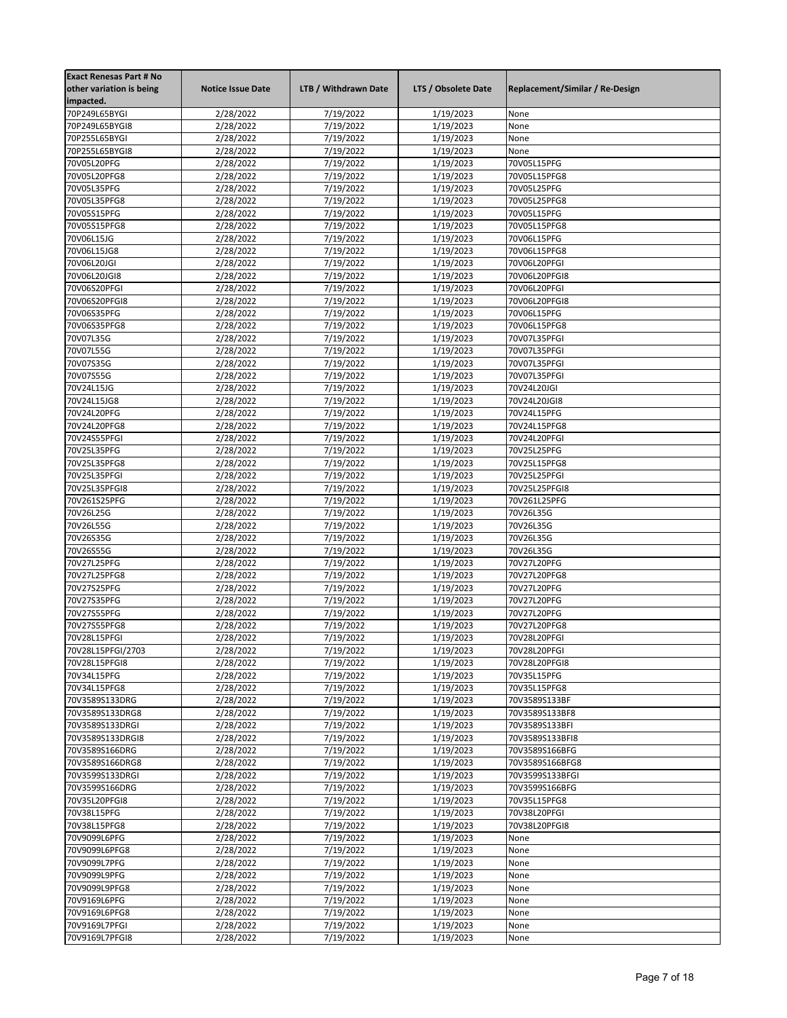| <b>Exact Renesas Part # No</b> |                          |                        |                     |                                 |
|--------------------------------|--------------------------|------------------------|---------------------|---------------------------------|
| other variation is being       | <b>Notice Issue Date</b> | LTB / Withdrawn Date   | LTS / Obsolete Date | Replacement/Similar / Re-Design |
| impacted.                      |                          |                        |                     |                                 |
| 70P249L65BYGI                  | 2/28/2022                | 7/19/2022              | 1/19/2023           | None                            |
| 70P249L65BYGI8                 | 2/28/2022                | 7/19/2022              | 1/19/2023           | None                            |
| 70P255L65BYGI                  | 2/28/2022                | 7/19/2022              | 1/19/2023           | None                            |
| 70P255L65BYGI8                 |                          |                        | 1/19/2023           | None                            |
|                                | 2/28/2022                | 7/19/2022              |                     |                                 |
| 70V05L20PFG                    | 2/28/2022                | 7/19/2022              | 1/19/2023           | 70V05L15PFG                     |
| 70V05L20PFG8                   | 2/28/2022                | 7/19/2022              | 1/19/2023           | 70V05L15PFG8                    |
| 70V05L35PFG                    | 2/28/2022                | 7/19/2022              | 1/19/2023           | 70V05L25PFG                     |
| 70V05L35PFG8                   | 2/28/2022                | 7/19/2022              | 1/19/2023           | 70V05L25PFG8                    |
| 70V05S15PFG                    | 2/28/2022                | 7/19/2022              | 1/19/2023           | 70V05L15PFG                     |
| 70V05S15PFG8                   | 2/28/2022                | 7/19/2022              | 1/19/2023           | 70V05L15PFG8                    |
| 70V06L15JG                     | 2/28/2022                | $\frac{1}{7}{19}/2022$ | 1/19/2023           | 70V06L15PFG                     |
| 70V06L15JG8                    | 2/28/2022                | 7/19/2022              | 1/19/2023           | 70V06L15PFG8                    |
| 70V06L20JGI                    | 2/28/2022                | 7/19/2022              | 1/19/2023           | 70V06L20PFGI                    |
| 70V06L20JGI8                   | 2/28/2022                | 7/19/2022              | 1/19/2023           | 70V06L20PFGI8                   |
| 70V06S20PFGI                   | 2/28/2022                | 7/19/2022              | 1/19/2023           | 70V06L20PFGI                    |
| 70V06S20PFGI8                  | 2/28/2022                | 7/19/2022              | 1/19/2023           | 70V06L20PFGI8                   |
| 70V06S35PFG                    | 2/28/2022                | 7/19/2022              | 1/19/2023           | 70V06L15PFG                     |
| 70V06S35PFG8                   | 2/28/2022                | 7/19/2022              | 1/19/2023           | 70V06L15PFG8                    |
|                                |                          | 7/19/2022              | 1/19/2023           |                                 |
| 70V07L35G                      | 2/28/2022                |                        |                     | 70V07L35PFGI                    |
| 70V07L55G                      | 2/28/2022                | 7/19/2022              | 1/19/2023           | 70V07L35PFGI                    |
| 70V07S35G                      | 2/28/2022                | 7/19/2022              | 1/19/2023           | 70V07L35PFGI                    |
| 70V07S55G                      | 2/28/2022                | 7/19/2022              | 1/19/2023           | 70V07L35PFGI                    |
| 70V24L15JG                     | 2/28/2022                | 7/19/2022              | 1/19/2023           | 70V24L20JGI                     |
| 70V24L15JG8                    | 2/28/2022                | 7/19/2022              | 1/19/2023           | 70V24L20JGI8                    |
| 70V24L20PFG                    | 2/28/2022                | 7/19/2022              | 1/19/2023           | 70V24L15PFG                     |
| 70V24L20PFG8                   | 2/28/2022                | 7/19/2022              | 1/19/2023           | 70V24L15PFG8                    |
| 70V24S55PFGI                   | 2/28/2022                | 7/19/2022              | 1/19/2023           | 70V24L20PFGI                    |
| 70V25L35PFG                    | 2/28/2022                | 7/19/2022              | 1/19/2023           | 70V25L25PFG                     |
| 70V25L35PFG8                   | 2/28/2022                | 7/19/2022              | 1/19/2023           | 70V25L15PFG8                    |
| 70V25L35PFGI                   | 2/28/2022                | 7/19/2022              | 1/19/2023           | 70V25L25PFGI                    |
| 70V25L35PFGI8                  | 2/28/2022                | 7/19/2022              | 1/19/2023           | 70V25L25PFGI8                   |
| 70V261S25PFG                   | 2/28/2022                | 7/19/2022              | 1/19/2023           | 70V261L25PFG                    |
| 70V26L25G                      | 2/28/2022                | 7/19/2022              | 1/19/2023           | 70V26L35G                       |
| 70V26L55G                      | 2/28/2022                | 7/19/2022              | 1/19/2023           | 70V26L35G                       |
| 70V26S35G                      | 2/28/2022                | 7/19/2022              | 1/19/2023           | 70V26L35G                       |
|                                |                          |                        |                     |                                 |
| 70V26S55G                      | 2/28/2022                | 7/19/2022              | 1/19/2023           | 70V26L35G                       |
| 70V27L25PFG                    | 2/28/2022                | 7/19/2022              | 1/19/2023           | 70V27L20PFG                     |
| 70V27L25PFG8                   | 2/28/2022                | 7/19/2022              | 1/19/2023           | 70V27L20PFG8                    |
| 70V27S25PFG                    | 2/28/2022                | 7/19/2022              | 1/19/2023           | 70V27L20PFG                     |
| 70V27S35PFG                    | 2/28/2022                | 7/19/2022              | 1/19/2023           | 70V27L20PFG                     |
| 70V27S55PFG                    | 2/28/2022                | 7/19/2022              | 1/19/2023           | 70V27L20PFG                     |
| 70V27S55PFG8                   | 2/28/2022                | 7/19/2022              | 1/19/2023           | 70V27L20PFG8                    |
| 70V28L15PFGI                   | 2/28/2022                | 7/19/2022              | 1/19/2023           | 70V28L20PFGI                    |
| 70V28L15PFGI/2703              | 2/28/2022                | 7/19/2022              | 1/19/2023           | 70V28L20PFGI                    |
| 70V28L15PFGI8                  | 2/28/2022                | 7/19/2022              | 1/19/2023           | 70V28L20PFGI8                   |
| 70V34L15PFG                    | 2/28/2022                | 7/19/2022              | 1/19/2023           | 70V35L15PFG                     |
| 70V34L15PFG8                   | 2/28/2022                | 7/19/2022              | 1/19/2023           | 70V35L15PFG8                    |
| 70V3589S133DRG                 | 2/28/2022                | 7/19/2022              | 1/19/2023           | 70V3589S133BF                   |
| 70V3589S133DRG8                | 2/28/2022                | 7/19/2022              | 1/19/2023           | 70V3589S133BF8                  |
| 70V3589S133DRGI                | 2/28/2022                | 7/19/2022              | 1/19/2023           | 70V3589S133BFI                  |
| 70V3589S133DRGI8               | 2/28/2022                | 7/19/2022              | 1/19/2023           | 70V3589S133BFI8                 |
| 70V3589S166DRG                 | 2/28/2022                | 7/19/2022              | 1/19/2023           | 70V3589S166BFG                  |
| 70V3589S166DRG8                | 2/28/2022                | 7/19/2022              | 1/19/2023           | 70V3589S166BFG8                 |
| 70V3599S133DRGI                | 2/28/2022                | 7/19/2022              | 1/19/2023           | 70V3599S133BFGI                 |
|                                |                          |                        |                     |                                 |
| 70V3599S166DRG                 | 2/28/2022                | 7/19/2022              | 1/19/2023           | 70V3599S166BFG                  |
| 70V35L20PFGI8                  | 2/28/2022                | 7/19/2022              | 1/19/2023           | 70V35L15PFG8                    |
| 70V38L15PFG                    | 2/28/2022                | 7/19/2022              | 1/19/2023           | 70V38L20PFGI                    |
| 70V38L15PFG8                   | 2/28/2022                | 7/19/2022              | 1/19/2023           | 70V38L20PFGI8                   |
| 70V9099L6PFG                   | 2/28/2022                | 7/19/2022              | 1/19/2023           | None                            |
| 70V9099L6PFG8                  | 2/28/2022                | 7/19/2022              | 1/19/2023           | None                            |
| 70V9099L7PFG                   | 2/28/2022                | 7/19/2022              | 1/19/2023           | None                            |
| 70V9099L9PFG                   | 2/28/2022                | 7/19/2022              | 1/19/2023           | None                            |
| 70V9099L9PFG8                  | 2/28/2022                | 7/19/2022              | 1/19/2023           | None                            |
| 70V9169L6PFG                   | 2/28/2022                | 7/19/2022              | 1/19/2023           | None                            |
| 70V9169L6PFG8                  | 2/28/2022                | 7/19/2022              | 1/19/2023           | None                            |
| 70V9169L7PFGI                  | 2/28/2022                | 7/19/2022              | 1/19/2023           | None                            |
| 70V9169L7PFGI8                 | 2/28/2022                | 7/19/2022              | 1/19/2023           | None                            |
|                                |                          |                        |                     |                                 |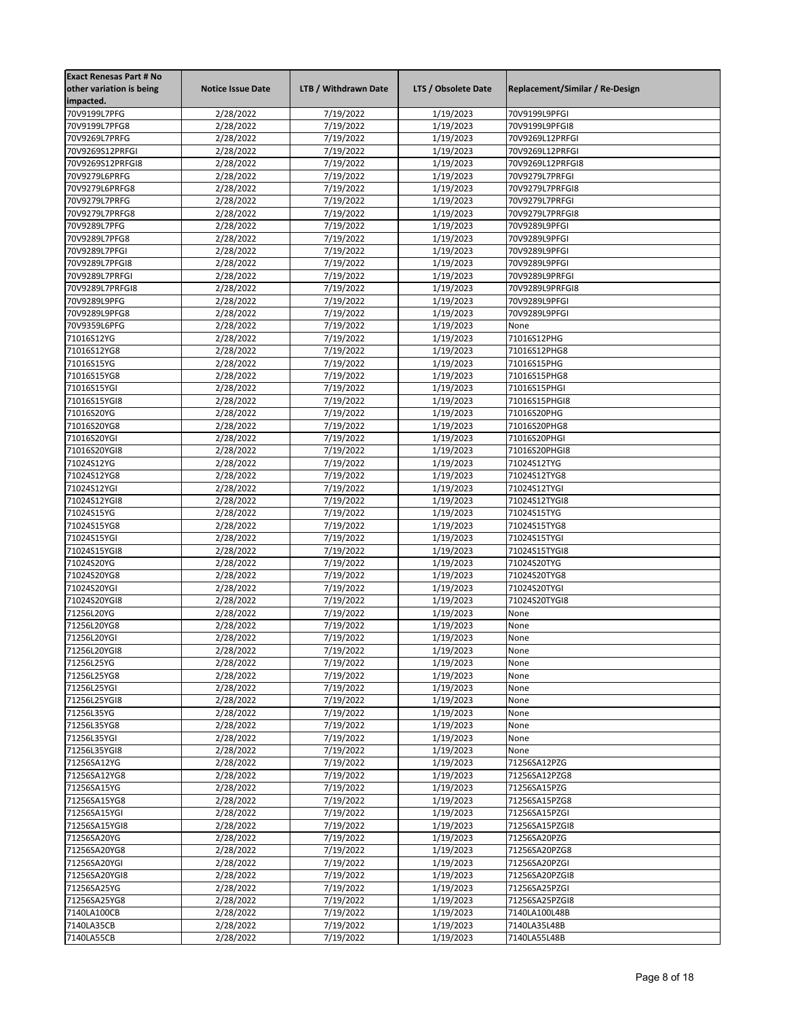| <b>Exact Renesas Part # No</b><br>other variation is being<br>impacted. | <b>Notice Issue Date</b> | LTB / Withdrawn Date   | LTS / Obsolete Date    | Replacement/Similar / Re-Design   |
|-------------------------------------------------------------------------|--------------------------|------------------------|------------------------|-----------------------------------|
| 70V9199L7PFG                                                            | 2/28/2022                | 7/19/2022              | 1/19/2023              | 70V9199L9PFGI                     |
| 70V9199L7PFG8                                                           | 2/28/2022                | 7/19/2022              | 1/19/2023              | 70V9199L9PFGI8                    |
| 70V9269L7PRFG                                                           | 2/28/2022                | 7/19/2022              | 1/19/2023              | 70V9269L12PRFGI                   |
| 70V9269S12PRFGI                                                         | 2/28/2022                | 7/19/2022              | 1/19/2023              | 70V9269L12PRFGI                   |
| 70V9269S12PRFGI8                                                        | 2/28/2022                | 7/19/2022              | 1/19/2023              | 70V9269L12PRFGI8                  |
| 70V9279L6PRFG                                                           | 2/28/2022                | 7/19/2022              | 1/19/2023              | 70V9279L7PRFGI                    |
| 70V9279L6PRFG8                                                          | 2/28/2022                | 7/19/2022              | 1/19/2023              | 70V9279L7PRFGI8                   |
| 70V9279L7PRFG                                                           | 2/28/2022                | 7/19/2022              | 1/19/2023              | 70V9279L7PRFGI                    |
| 70V9279L7PRFG8                                                          | 2/28/2022                | 7/19/2022              | 1/19/2023              | 70V9279L7PRFGI8                   |
| 70V9289L7PFG                                                            | 2/28/2022                | 7/19/2022              | 1/19/2023              | 70V9289L9PFGI                     |
| 70V9289L7PFG8                                                           | 2/28/2022                | $\frac{1}{7}{19}/2022$ | 1/19/2023              | 70V9289L9PFGI                     |
| 70V9289L7PFGI                                                           | 2/28/2022                | 7/19/2022              | 1/19/2023              | 70V9289L9PFGI                     |
| 70V9289L7PFGI8                                                          | 2/28/2022                | 7/19/2022              | 1/19/2023              | 70V9289L9PFGI                     |
| 70V9289L7PRFGI<br>70V9289L7PRFGI8                                       | 2/28/2022                | 7/19/2022<br>7/19/2022 | 1/19/2023<br>1/19/2023 | 70V9289L9PRFGI<br>70V9289L9PRFGI8 |
| 70V9289L9PFG                                                            | 2/28/2022<br>2/28/2022   | 7/19/2022              | 1/19/2023              | 70V9289L9PFGI                     |
| 70V9289L9PFG8                                                           | 2/28/2022                | 7/19/2022              | 1/19/2023              | 70V9289L9PFGI                     |
| 70V9359L6PFG                                                            | 2/28/2022                | 7/19/2022              | 1/19/2023              | None                              |
| 71016S12YG                                                              | 2/28/2022                | 7/19/2022              | 1/19/2023              | 71016S12PHG                       |
| 71016S12YG8                                                             | 2/28/2022                | 7/19/2022              | 1/19/2023              | 71016S12PHG8                      |
| 71016S15YG                                                              | 2/28/2022                | 7/19/2022              | 1/19/2023              | 71016S15PHG                       |
| 71016S15YG8                                                             | 2/28/2022                | 7/19/2022              | 1/19/2023              | 71016S15PHG8                      |
| 71016S15YGI                                                             | 2/28/2022                | 7/19/2022              | 1/19/2023              | 71016S15PHGI                      |
| 71016S15YGI8                                                            | 2/28/2022                | 7/19/2022              | 1/19/2023              | 71016S15PHGI8                     |
| 71016S20YG                                                              | 2/28/2022                | 7/19/2022              | 1/19/2023              | 71016S20PHG                       |
| 71016S20YG8                                                             | 2/28/2022                | 7/19/2022              | 1/19/2023              | 71016S20PHG8                      |
| 71016S20YGI                                                             | 2/28/2022                | 7/19/2022              | 1/19/2023              | 71016S20PHGI                      |
| 71016S20YGI8                                                            | 2/28/2022                | 7/19/2022              | 1/19/2023              | 71016S20PHGI8                     |
| 71024S12YG                                                              | 2/28/2022                | 7/19/2022              | 1/19/2023              | 71024S12TYG                       |
| 71024S12YG8                                                             | 2/28/2022                | 7/19/2022              | 1/19/2023              | 71024S12TYG8                      |
| 71024S12YGI                                                             | 2/28/2022                | 7/19/2022              | 1/19/2023              | 71024S12TYGI                      |
| 71024S12YGI8                                                            | 2/28/2022<br>2/28/2022   | 7/19/2022<br>7/19/2022 | 1/19/2023<br>1/19/2023 | 71024S12TYGI8                     |
| 71024S15YG<br>71024S15YG8                                               | 2/28/2022                | 7/19/2022              | 1/19/2023              | 71024S15TYG<br>71024S15TYG8       |
| 71024S15YGI                                                             | 2/28/2022                | 7/19/2022              | 1/19/2023              | 71024S15TYGI                      |
| 71024S15YGI8                                                            | 2/28/2022                | 7/19/2022              | 1/19/2023              | 71024S15TYGI8                     |
| 71024S20YG                                                              | 2/28/2022                | 7/19/2022              | 1/19/2023              | 71024S20TYG                       |
| 71024S20YG8                                                             | 2/28/2022                | 7/19/2022              | 1/19/2023              | 71024S20TYG8                      |
| 71024S20YGI                                                             | 2/28/2022                | 7/19/2022              | 1/19/2023              | 71024S20TYGI                      |
| 71024S20YGI8                                                            | 2/28/2022                | 7/19/2022              | 1/19/2023              | 71024S20TYGI8                     |
| 71256L20YG                                                              | 2/28/2022                | 7/19/2022              | 1/19/2023              | None                              |
| 71256L20YG8                                                             | 2/28/2022                | 7/19/2022              | 1/19/2023              | None                              |
| 71256L20YGI                                                             | 2/28/2022                | 7/19/2022              | 1/19/2023              | None                              |
| 71256L20YGI8                                                            | 2/28/2022                | 7/19/2022              | 1/19/2023              | None                              |
| 71256L25YG                                                              | 2/28/2022                | 7/19/2022              | 1/19/2023              | None                              |
| 71256L25YG8                                                             | 2/28/2022                | 7/19/2022              | 1/19/2023              | None                              |
| 71256L25YGI                                                             | 2/28/2022                | 7/19/2022              | 1/19/2023              | None                              |
| 71256L25YGI8                                                            | 2/28/2022                | 7/19/2022              | 1/19/2023              | None                              |
| 71256L35YG                                                              | 2/28/2022                | 7/19/2022              | 1/19/2023              | None                              |
| 71256L35YG8<br>71256L35YGI                                              | 2/28/2022<br>2/28/2022   | 7/19/2022<br>7/19/2022 | 1/19/2023<br>1/19/2023 | None<br>None                      |
| 71256L35YGI8                                                            | 2/28/2022                | 7/19/2022              | 1/19/2023              | None                              |
| 71256SA12YG                                                             | 2/28/2022                | 7/19/2022              | 1/19/2023              | 71256SA12PZG                      |
| 71256SA12YG8                                                            | 2/28/2022                | 7/19/2022              | 1/19/2023              | 71256SA12PZG8                     |
| 71256SA15YG                                                             | 2/28/2022                | 7/19/2022              | 1/19/2023              | 71256SA15PZG                      |
| 71256SA15YG8                                                            | 2/28/2022                | 7/19/2022              | 1/19/2023              | 71256SA15PZG8                     |
| 71256SA15YGI                                                            | 2/28/2022                | 7/19/2022              | 1/19/2023              | 71256SA15PZGI                     |
| 71256SA15YGI8                                                           | 2/28/2022                | 7/19/2022              | 1/19/2023              | 71256SA15PZGI8                    |
| 71256SA20YG                                                             | 2/28/2022                | 7/19/2022              | 1/19/2023              | 71256SA20PZG                      |
| 71256SA20YG8                                                            | 2/28/2022                | 7/19/2022              | 1/19/2023              | 71256SA20PZG8                     |
| 71256SA20YGI                                                            | 2/28/2022                | 7/19/2022              | 1/19/2023              | 71256SA20PZGI                     |
| 71256SA20YGI8                                                           | 2/28/2022                | 7/19/2022              | 1/19/2023              | 71256SA20PZGI8                    |
| 71256SA25YG                                                             | 2/28/2022                | 7/19/2022              | 1/19/2023              | 71256SA25PZGI                     |
| 71256SA25YG8                                                            | 2/28/2022                | 7/19/2022              | 1/19/2023              | 71256SA25PZGI8                    |
| 7140LA100CB                                                             | 2/28/2022                | 7/19/2022              | 1/19/2023              | 7140LA100L48B                     |
| 7140LA35CB                                                              | 2/28/2022                | 7/19/2022              | 1/19/2023              | 7140LA35L48B                      |
| 7140LA55CB                                                              | 2/28/2022                | 7/19/2022              | 1/19/2023              | 7140LA55L48B                      |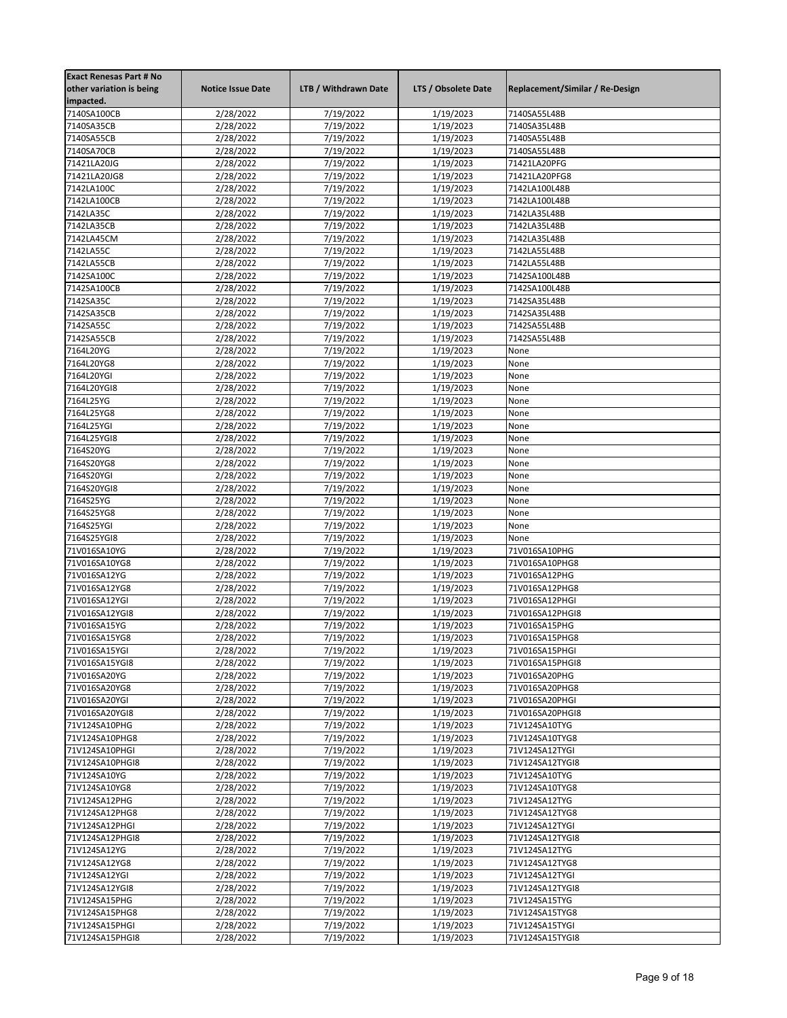| <b>Exact Renesas Part # No</b><br>other variation is being<br>impacted. | <b>Notice Issue Date</b> | LTB / Withdrawn Date   | LTS / Obsolete Date    | Replacement/Similar / Re-Design   |
|-------------------------------------------------------------------------|--------------------------|------------------------|------------------------|-----------------------------------|
| 7140SA100CB                                                             | 2/28/2022                | 7/19/2022              | 1/19/2023              | 7140SA55L48B                      |
| 7140SA35CB                                                              | 2/28/2022                | 7/19/2022              | 1/19/2023              | 7140SA35L48B                      |
| 7140SA55CB                                                              | 2/28/2022                | 7/19/2022              | 1/19/2023              | 7140SA55L48B                      |
| 7140SA70CB                                                              | 2/28/2022                | 7/19/2022              | 1/19/2023              | 7140SA55L48B                      |
| 71421LA20JG                                                             | 2/28/2022                | 7/19/2022              | 1/19/2023              | 71421LA20PFG                      |
| 71421LA20JG8                                                            | 2/28/2022                | 7/19/2022              | 1/19/2023              | 71421LA20PFG8                     |
| 7142LA100C                                                              | 2/28/2022                | 7/19/2022              | 1/19/2023              | 7142LA100L48B                     |
| 7142LA100CB                                                             | 2/28/2022                | 7/19/2022              | 1/19/2023              | 7142LA100L48B                     |
| 7142LA35C                                                               | 2/28/2022                | 7/19/2022              | 1/19/2023              | 7142LA35L48B                      |
| 7142LA35CB                                                              | 2/28/2022                | 7/19/2022              | 1/19/2023              | 7142LA35L48B                      |
| 7142LA45CM                                                              | 2/28/2022                | 7/19/2022              | 1/19/2023              | 7142LA35L48B                      |
| 7142LA55C                                                               | 2/28/2022                | 7/19/2022              | 1/19/2023              | 7142LA55L48B                      |
| 7142LA55CB                                                              | 2/28/2022                | 7/19/2022              | 1/19/2023              | 7142LA55L48B                      |
| 7142SA100C                                                              | 2/28/2022                | 7/19/2022              | 1/19/2023              | 7142SA100L48B                     |
| 7142SA100CB                                                             | 2/28/2022                | 7/19/2022              | 1/19/2023              | 7142SA100L48B                     |
| 7142SA35C<br>7142SA35CB                                                 | 2/28/2022                | 7/19/2022              | 1/19/2023<br>1/19/2023 | 7142SA35L48B<br>7142SA35L48B      |
| 7142SA55C                                                               | 2/28/2022<br>2/28/2022   | 7/19/2022<br>7/19/2022 | 1/19/2023              | 7142SA55L48B                      |
| 7142SA55CB                                                              | 2/28/2022                | 7/19/2022              | 1/19/2023              | 7142SA55L48B                      |
| 7164L20YG                                                               | 2/28/2022                | 7/19/2022              | 1/19/2023              | None                              |
| 7164L20YG8                                                              | 2/28/2022                | 7/19/2022              | 1/19/2023              | None                              |
| 7164L20YGI                                                              | 2/28/2022                | 7/19/2022              | 1/19/2023              | None                              |
| 7164L20YGI8                                                             | 2/28/2022                | 7/19/2022              | 1/19/2023              | None                              |
| 7164L25YG                                                               | 2/28/2022                | 7/19/2022              | 1/19/2023              | None                              |
| 7164L25YG8                                                              | 2/28/2022                | 7/19/2022              | 1/19/2023              | None                              |
| 7164L25YGI                                                              | 2/28/2022                | 7/19/2022              | 1/19/2023              | None                              |
| 7164L25YGI8                                                             | 2/28/2022                | 7/19/2022              | 1/19/2023              | None                              |
| 7164S20YG                                                               | 2/28/2022                | 7/19/2022              | 1/19/2023              | None                              |
| 7164S20YG8                                                              | 2/28/2022                | 7/19/2022              | 1/19/2023              | None                              |
| 7164S20YGI                                                              | 2/28/2022                | 7/19/2022              | 1/19/2023              | None                              |
| 7164S20YGI8                                                             | 2/28/2022                | 7/19/2022              | 1/19/2023              | None                              |
| 7164S25YG                                                               | 2/28/2022                | 7/19/2022              | 1/19/2023              | None                              |
| 7164S25YG8                                                              | 2/28/2022                | 7/19/2022              | 1/19/2023              | None                              |
| 7164S25YGI                                                              | 2/28/2022                | 7/19/2022              | 1/19/2023              | None                              |
| 7164S25YGI8                                                             | 2/28/2022                | 7/19/2022              | 1/19/2023              | None                              |
| 71V016SA10YG                                                            | 2/28/2022                | 7/19/2022              | 1/19/2023              | 71V016SA10PHG                     |
| 71V016SA10YG8                                                           | 2/28/2022                | 7/19/2022              | 1/19/2023              | 71V016SA10PHG8                    |
| 71V016SA12YG                                                            | 2/28/2022                | 7/19/2022              | 1/19/2023              | 71V016SA12PHG                     |
| 71V016SA12YG8                                                           | 2/28/2022                | 7/19/2022              | 1/19/2023              | 71V016SA12PHG8                    |
| 71V016SA12YGI                                                           | 2/28/2022                | 7/19/2022              | 1/19/2023              | 71V016SA12PHGI                    |
| 71V016SA12YGI8                                                          | 2/28/2022                | 7/19/2022              | 1/19/2023              | 71V016SA12PHGI8                   |
| 71V016SA15YG                                                            | 2/28/2022                | 7/19/2022              | 1/19/2023              | 71V016SA15PHG                     |
| 71V016SA15YG8<br>71V016SA15YGI                                          | 2/28/2022                | 7/19/2022<br>7/19/2022 | 1/19/2023<br>1/19/2023 | 71V016SA15PHG8                    |
| 71V016SA15YGI8                                                          | 2/28/2022<br>2/28/2022   | 7/19/2022              | 1/19/2023              | 71V016SA15PHGI<br>71V016SA15PHGI8 |
| 71V016SA20YG                                                            | 2/28/2022                | 7/19/2022              | 1/19/2023              | 71V016SA20PHG                     |
| 71V016SA20YG8                                                           | 2/28/2022                | 7/19/2022              | 1/19/2023              | 71V016SA20PHG8                    |
| 71V016SA20YGI                                                           | 2/28/2022                | 7/19/2022              | 1/19/2023              | 71V016SA20PHGI                    |
| 71V016SA20YGI8                                                          | 2/28/2022                | 7/19/2022              | 1/19/2023              | 71V016SA20PHGI8                   |
| 71V124SA10PHG                                                           | 2/28/2022                | 7/19/2022              | 1/19/2023              | 71V124SA10TYG                     |
| 71V124SA10PHG8                                                          | 2/28/2022                | 7/19/2022              | 1/19/2023              | 71V124SA10TYG8                    |
| 71V124SA10PHGI                                                          | 2/28/2022                | 7/19/2022              | 1/19/2023              | 71V124SA12TYGI                    |
| 71V124SA10PHGI8                                                         | 2/28/2022                | 7/19/2022              | 1/19/2023              | 71V124SA12TYGI8                   |
| 71V124SA10YG                                                            | 2/28/2022                | 7/19/2022              | 1/19/2023              | 71V124SA10TYG                     |
| 71V124SA10YG8                                                           | 2/28/2022                | 7/19/2022              | 1/19/2023              | 71V124SA10TYG8                    |
| 71V124SA12PHG                                                           | 2/28/2022                | 7/19/2022              | 1/19/2023              | 71V124SA12TYG                     |
| 71V124SA12PHG8                                                          | 2/28/2022                | 7/19/2022              | 1/19/2023              | 71V124SA12TYG8                    |
| 71V124SA12PHGI                                                          | 2/28/2022                | 7/19/2022              | 1/19/2023              | 71V124SA12TYGI                    |
| 71V124SA12PHGI8                                                         | 2/28/2022                | 7/19/2022              | 1/19/2023              | 71V124SA12TYGI8                   |
| 71V124SA12YG                                                            | 2/28/2022                | 7/19/2022              | 1/19/2023              | 71V124SA12TYG                     |
| 71V124SA12YG8                                                           | 2/28/2022                | 7/19/2022              | 1/19/2023              | 71V124SA12TYG8                    |
| 71V124SA12YGI                                                           | 2/28/2022                | 7/19/2022              | 1/19/2023              | 71V124SA12TYGI                    |
| 71V124SA12YGI8                                                          | 2/28/2022                | 7/19/2022              | 1/19/2023              | 71V124SA12TYGI8                   |
| 71V124SA15PHG                                                           | 2/28/2022                | 7/19/2022              | 1/19/2023              | 71V124SA15TYG                     |
| 71V124SA15PHG8                                                          | 2/28/2022                | 7/19/2022              | 1/19/2023              | 71V124SA15TYG8                    |
| 71V124SA15PHGI                                                          | 2/28/2022                | 7/19/2022              | 1/19/2023              | 71V124SA15TYGI                    |
| 71V124SA15PHGI8                                                         | 2/28/2022                | 7/19/2022              | 1/19/2023              | 71V124SA15TYGI8                   |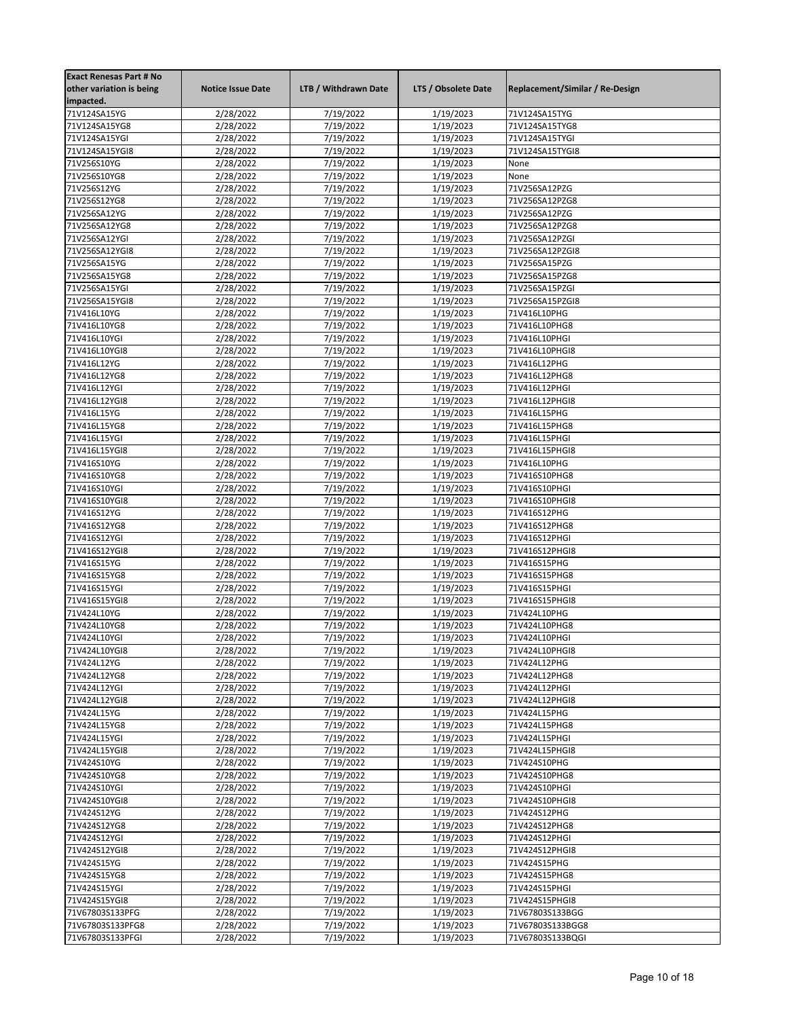| <b>Exact Renesas Part # No</b> |                          |                      |                     |                                 |
|--------------------------------|--------------------------|----------------------|---------------------|---------------------------------|
| other variation is being       | <b>Notice Issue Date</b> | LTB / Withdrawn Date | LTS / Obsolete Date | Replacement/Similar / Re-Design |
| impacted.                      |                          |                      |                     |                                 |
| 71V124SA15YG                   | 2/28/2022                | 7/19/2022            | 1/19/2023           | 71V124SA15TYG                   |
| 71V124SA15YG8                  | 2/28/2022                | 7/19/2022            | 1/19/2023           | 71V124SA15TYG8                  |
| 71V124SA15YGI                  | 2/28/2022                | 7/19/2022            | 1/19/2023           | 71V124SA15TYGI                  |
| 71V124SA15YGI8                 | 2/28/2022                | 7/19/2022            | 1/19/2023           | 71V124SA15TYGI8                 |
| 71V256S10YG                    | 2/28/2022                | 7/19/2022            | 1/19/2023           | None                            |
| 71V256S10YG8                   | 2/28/2022                | 7/19/2022            | 1/19/2023           | None                            |
| 71V256S12YG                    | 2/28/2022                | 7/19/2022            | 1/19/2023           | 71V256SA12PZG                   |
| 71V256S12YG8                   | 2/28/2022                | 7/19/2022            | 1/19/2023           | 71V256SA12PZG8                  |
| 71V256SA12YG                   | 2/28/2022                | 7/19/2022            | 1/19/2023           | 71V256SA12PZG                   |
| 71V256SA12YG8                  | 2/28/2022                | 7/19/2022            | 1/19/2023           | 71V256SA12PZG8                  |
| 71V256SA12YGI                  | 2/28/2022                | 7/19/2022            | 1/19/2023           | 71V256SA12PZGI                  |
| 71V256SA12YGI8                 | 2/28/2022                | 7/19/2022            | 1/19/2023           | 71V256SA12PZGI8                 |
| 71V256SA15YG                   | 2/28/2022                | 7/19/2022            | 1/19/2023           | 71V256SA15PZG                   |
| 71V256SA15YG8                  | 2/28/2022                | 7/19/2022            | 1/19/2023           | 71V256SA15PZG8                  |
| 71V256SA15YGI                  | 2/28/2022                | 7/19/2022            | 1/19/2023           | 71V256SA15PZGI                  |
| 71V256SA15YGI8                 | 2/28/2022                | 7/19/2022            | 1/19/2023           | 71V256SA15PZGI8                 |
| 71V416L10YG                    | 2/28/2022                | 7/19/2022            | 1/19/2023           | 71V416L10PHG                    |
| 71V416L10YG8                   | 2/28/2022                | 7/19/2022            | 1/19/2023           | 71V416L10PHG8                   |
| 71V416L10YGI                   | 2/28/2022                | 7/19/2022            | 1/19/2023           | 71V416L10PHGI                   |
| 71V416L10YGI8                  | 2/28/2022                | 7/19/2022            | 1/19/2023           | 71V416L10PHGI8                  |
| 71V416L12YG                    | 2/28/2022                | 7/19/2022            | 1/19/2023           | 71V416L12PHG                    |
| 71V416L12YG8                   | 2/28/2022                | 7/19/2022            | 1/19/2023           | 71V416L12PHG8                   |
| 71V416L12YGI                   | 2/28/2022                | 7/19/2022            | 1/19/2023           | 71V416L12PHGI                   |
| 71V416L12YGI8                  | 2/28/2022                | 7/19/2022            | 1/19/2023           | 71V416L12PHGI8                  |
| 71V416L15YG                    | 2/28/2022                | 7/19/2022            | 1/19/2023           | 71V416L15PHG                    |
| 71V416L15YG8                   | 2/28/2022                | 7/19/2022            | 1/19/2023           | 71V416L15PHG8                   |
| 71V416L15YGI                   | 2/28/2022                | 7/19/2022            | 1/19/2023           | 71V416L15PHGI                   |
| 71V416L15YGI8                  | 2/28/2022                | 7/19/2022            | 1/19/2023           | 71V416L15PHGI8                  |
| 71V416S10YG                    | 2/28/2022                | 7/19/2022            | 1/19/2023           | 71V416L10PHG                    |
| 71V416S10YG8                   | 2/28/2022                | 7/19/2022            | 1/19/2023           | 71V416S10PHG8                   |
| 71V416S10YGI                   | 2/28/2022                | 7/19/2022            | 1/19/2023           | 71V416S10PHGI                   |
| 71V416S10YGI8                  | 2/28/2022                | 7/19/2022            | 1/19/2023           | 71V416S10PHGI8                  |
| 71V416S12YG                    | 2/28/2022                | 7/19/2022            | 1/19/2023           | 71V416S12PHG                    |
| 71V416S12YG8                   | 2/28/2022                | 7/19/2022            | 1/19/2023           | 71V416S12PHG8                   |
| 71V416S12YGI                   | 2/28/2022                | 7/19/2022            | 1/19/2023           | 71V416S12PHGI                   |
| 71V416S12YGI8                  | 2/28/2022                | 7/19/2022            | 1/19/2023           | 71V416S12PHGI8                  |
| 71V416S15YG                    | 2/28/2022                | 7/19/2022            | 1/19/2023           | 71V416S15PHG                    |
| 71V416S15YG8                   | 2/28/2022                | 7/19/2022            | 1/19/2023           | 71V416S15PHG8                   |
| 71V416S15YGI                   | 2/28/2022                | 7/19/2022            | 1/19/2023           | 71V416S15PHGI                   |
| 71V416S15YGI8                  | 2/28/2022                | 7/19/2022            | 1/19/2023           | 71V416S15PHGI8                  |
| 71V424L10YG                    | 2/28/2022                | 7/19/2022            | 1/19/2023           | 71V424L10PHG                    |
| 71V424L10YG8                   | 2/28/2022                | 7/19/2022            | 1/19/2023           | 71V424L10PHG8                   |
| 71V424L10YGI                   | 2/28/2022                | 7/19/2022            | 1/19/2023           | 71V424L10PHGI                   |
| 71V424L10YGI8                  | 2/28/2022                | 7/19/2022            | 1/19/2023           | 71V424L10PHGI8                  |
| 71V424L12YG                    | 2/28/2022                | 7/19/2022            | 1/19/2023           | 71V424L12PHG                    |
| 71V424L12YG8                   | 2/28/2022                | 7/19/2022            | 1/19/2023           | 71V424L12PHG8                   |
| 71V424L12YGI                   | 2/28/2022                | 7/19/2022            | 1/19/2023           | 71V424L12PHGI                   |
| 71V424L12YGI8                  | 2/28/2022                | 7/19/2022            | 1/19/2023           | 71V424L12PHGI8                  |
| 71V424L15YG                    | 2/28/2022                | 7/19/2022            | 1/19/2023           | 71V424L15PHG                    |
| 71V424L15YG8                   | 2/28/2022                | 7/19/2022            | 1/19/2023           | 71V424L15PHG8                   |
| 71V424L15YGI                   | 2/28/2022                | 7/19/2022            | 1/19/2023           | 71V424L15PHGI                   |
| 71V424L15YGI8                  | 2/28/2022                | 7/19/2022            | 1/19/2023           | 71V424L15PHGI8                  |
| 71V424S10YG                    | 2/28/2022                | 7/19/2022            | 1/19/2023           | 71V424S10PHG                    |
| 71V424S10YG8                   | 2/28/2022                | 7/19/2022            | 1/19/2023           | 71V424S10PHG8                   |
| 71V424S10YGI                   | 2/28/2022                | 7/19/2022            | 1/19/2023           | 71V424S10PHGI                   |
| 71V424S10YGI8                  | 2/28/2022                | 7/19/2022            | 1/19/2023           | 71V424S10PHGI8                  |
| 71V424S12YG                    | 2/28/2022                | 7/19/2022            | 1/19/2023           | 71V424S12PHG                    |
| 71V424S12YG8                   | 2/28/2022                | 7/19/2022            | 1/19/2023           | 71V424S12PHG8                   |
| 71V424S12YGI                   | 2/28/2022                | 7/19/2022            | 1/19/2023           | 71V424S12PHGI                   |
| 71V424S12YGI8                  | 2/28/2022                | 7/19/2022            | 1/19/2023           | 71V424S12PHGI8                  |
| 71V424S15YG                    | 2/28/2022                | 7/19/2022            | 1/19/2023           | 71V424S15PHG                    |
| 71V424S15YG8                   | 2/28/2022                | 7/19/2022            | 1/19/2023           | 71V424S15PHG8                   |
| 71V424S15YGI                   | 2/28/2022                | 7/19/2022            | 1/19/2023           | 71V424S15PHGI                   |
| 71V424S15YGI8                  | 2/28/2022                | 7/19/2022            | 1/19/2023           | 71V424S15PHGI8                  |
| 71V67803S133PFG                | 2/28/2022                | 7/19/2022            | 1/19/2023           | 71V67803S133BGG                 |
| 71V67803S133PFG8               | 2/28/2022                | 7/19/2022            | 1/19/2023           | 71V67803S133BGG8                |
| 71V67803S133PFGI               | 2/28/2022                | 7/19/2022            | 1/19/2023           | 71V67803S133BQGI                |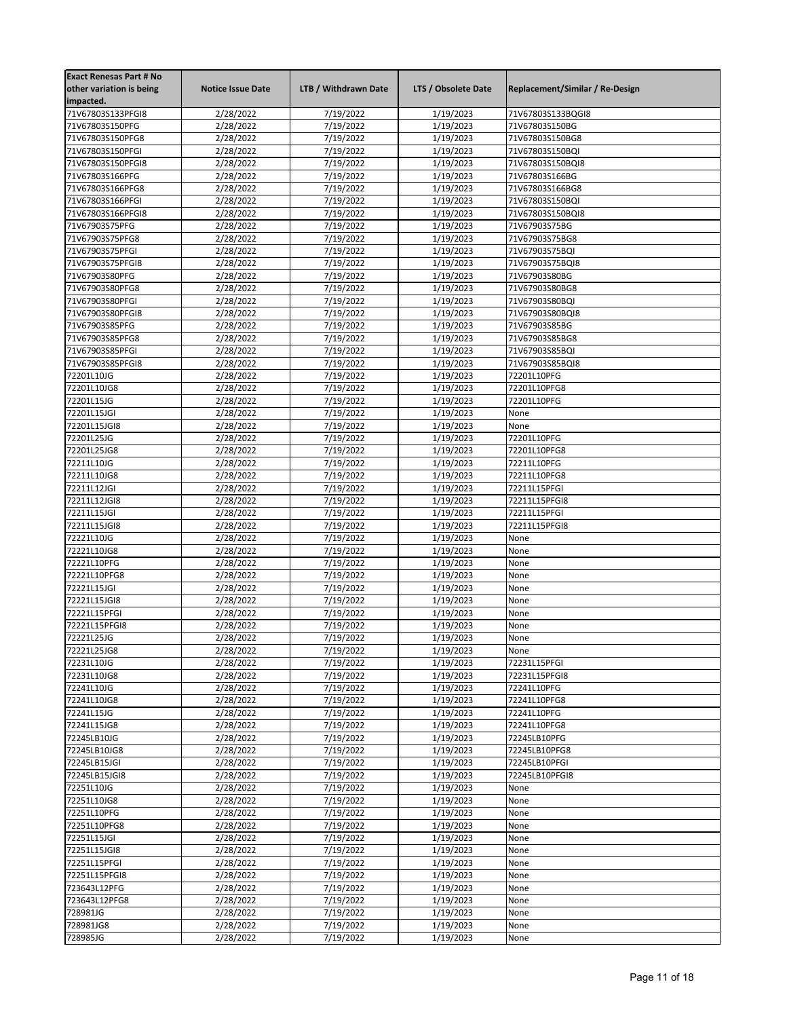| <b>Exact Renesas Part # No</b><br>other variation is being<br>impacted. | <b>Notice Issue Date</b> | LTB / Withdrawn Date   | LTS / Obsolete Date    | Replacement/Similar / Re-Design |
|-------------------------------------------------------------------------|--------------------------|------------------------|------------------------|---------------------------------|
| 71V67803S133PFGI8                                                       | 2/28/2022                | 7/19/2022              | 1/19/2023              | 71V67803S133BQGI8               |
| 71V67803S150PFG                                                         | 2/28/2022                | 7/19/2022              | 1/19/2023              | 71V67803S150BG                  |
| 71V67803S150PFG8                                                        | 2/28/2022                | 7/19/2022              | 1/19/2023              | 71V67803S150BG8                 |
| 71V67803S150PFGI                                                        | 2/28/2022                | 7/19/2022              | 1/19/2023              | 71V67803S150BQI                 |
| 71V67803S150PFGI8                                                       | 2/28/2022                | 7/19/2022              | 1/19/2023              | 71V67803S150BQI8                |
| 71V67803S166PFG                                                         | 2/28/2022                | 7/19/2022              | 1/19/2023              | 71V67803S166BG                  |
| 71V67803S166PFG8                                                        | 2/28/2022                | 7/19/2022              | 1/19/2023              | 71V67803S166BG8                 |
| 71V67803S166PFGI                                                        | 2/28/2022                | 7/19/2022              | 1/19/2023              | 71V67803S150BQI                 |
| 71V67803S166PFGI8                                                       | 2/28/2022                | 7/19/2022              | 1/19/2023              | 71V67803S150BQI8                |
| 71V67903S75PFG                                                          | 2/28/2022                | 7/19/2022              | 1/19/2023              | 71V67903S75BG                   |
| 71V67903S75PFG8                                                         | 2/28/2022                | 7/19/2022              | 1/19/2023              | 71V67903S75BG8                  |
| 71V67903S75PFGI                                                         | 2/28/2022                | 7/19/2022              | 1/19/2023              | 71V67903S75BQI                  |
| 71V67903S75PFGI8                                                        | 2/28/2022                | 7/19/2022              | 1/19/2023              | 71V67903S75BQI8                 |
| 71V67903S80PFG                                                          | 2/28/2022                | 7/19/2022              | 1/19/2023              | 71V67903S80BG                   |
| 71V67903S80PFG8                                                         | 2/28/2022                | 7/19/2022              | 1/19/2023              | 71V67903S80BG8                  |
| 71V67903S80PFGI                                                         | 2/28/2022                | 7/19/2022              | 1/19/2023              | 71V67903S80BQI                  |
| 71V67903S80PFGI8                                                        | 2/28/2022                | 7/19/2022              | 1/19/2023              | 71V67903S80BQI8                 |
| 71V67903S85PFG                                                          | 2/28/2022                | 7/19/2022              | 1/19/2023              | 71V67903S85BG                   |
| 71V67903S85PFG8                                                         | 2/28/2022                | 7/19/2022              | 1/19/2023              | 71V67903S85BG8                  |
| 71V67903S85PFGI                                                         | 2/28/2022                | 7/19/2022              | 1/19/2023              | 71V67903S85BQI                  |
| 71V67903S85PFGI8                                                        | 2/28/2022                | 7/19/2022              | 1/19/2023              | 71V67903S85BQI8                 |
| 72201L10JG                                                              | 2/28/2022                | 7/19/2022              | 1/19/2023              | 72201L10PFG                     |
| 72201L10JG8                                                             | 2/28/2022                | 7/19/2022              | 1/19/2023              | 72201L10PFG8                    |
| 72201L15JG                                                              | 2/28/2022                | 7/19/2022              | 1/19/2023              | 72201L10PFG                     |
| 72201L15JGI                                                             | 2/28/2022                | 7/19/2022              | 1/19/2023              | None                            |
| 72201L15JGI8                                                            | 2/28/2022                | 7/19/2022              | 1/19/2023              | None                            |
| 72201L25JG                                                              | 2/28/2022                | 7/19/2022              | 1/19/2023              | 72201L10PFG                     |
| 72201L25JG8                                                             | 2/28/2022                | 7/19/2022              | 1/19/2023              | 72201L10PFG8                    |
| 72211L10JG                                                              | 2/28/2022                | 7/19/2022              | 1/19/2023              | 72211L10PFG                     |
| 72211L10JG8                                                             | 2/28/2022                | 7/19/2022              | 1/19/2023              | 72211L10PFG8                    |
| 72211L12JGI                                                             | 2/28/2022                | 7/19/2022              | 1/19/2023              | 72211L15PFGI                    |
| 72211L12JGI8                                                            | 2/28/2022                | 7/19/2022              | 1/19/2023              | 72211L15PFGI8                   |
| 72211L15JGI                                                             | 2/28/2022                | 7/19/2022              | 1/19/2023              | 72211L15PFGI                    |
| 72211L15JGI8                                                            | 2/28/2022                | 7/19/2022              | 1/19/2023              | 72211L15PFGI8                   |
| 72221L10JG                                                              | 2/28/2022                | 7/19/2022              | 1/19/2023              | None                            |
| 72221L10JG8                                                             | 2/28/2022                | 7/19/2022              | 1/19/2023              | None                            |
| 72221L10PFG                                                             | 2/28/2022                | 7/19/2022              | 1/19/2023              | None                            |
| 72221L10PFG8                                                            | 2/28/2022                | 7/19/2022              | 1/19/2023              | None                            |
| 72221L15JGI                                                             | 2/28/2022                | 7/19/2022              | 1/19/2023              | None                            |
| 72221L15JGI8<br>72221L15PFGI                                            | 2/28/2022                | 7/19/2022              | 1/19/2023              | None                            |
| 72221L15PFGI8                                                           | 2/28/2022                | 7/19/2022              | 1/19/2023              | None                            |
|                                                                         | 2/28/2022                | 7/19/2022              | 1/19/2023              | None                            |
| 72221L25JG<br>72221L25JG8                                               | 2/28/2022<br>2/28/2022   | 7/19/2022<br>7/19/2022 | 1/19/2023<br>1/19/2023 | None<br>None                    |
| 72231L10JG                                                              | 2/28/2022                | 7/19/2022              | 1/19/2023              | 72231L15PFGI                    |
| 72231L10JG8                                                             | 2/28/2022                | 7/19/2022              | 1/19/2023              | 72231L15PFGI8                   |
| 72241L10JG                                                              | 2/28/2022                | 7/19/2022              | 1/19/2023              | 72241L10PFG                     |
| 72241L10JG8                                                             | 2/28/2022                | 7/19/2022              | 1/19/2023              | 72241L10PFG8                    |
| 72241L15JG                                                              | 2/28/2022                | 7/19/2022              | 1/19/2023              | 72241L10PFG                     |
| 72241L15JG8                                                             | 2/28/2022                | 7/19/2022              | 1/19/2023              | 72241L10PFG8                    |
| 72245LB10JG                                                             | 2/28/2022                | 7/19/2022              | 1/19/2023              | 72245LB10PFG                    |
| 72245LB10JG8                                                            | 2/28/2022                | 7/19/2022              | 1/19/2023              | 72245LB10PFG8                   |
| 72245LB15JGI                                                            | 2/28/2022                | 7/19/2022              | 1/19/2023              | 72245LB10PFGI                   |
| 72245LB15JGI8                                                           | 2/28/2022                | 7/19/2022              | 1/19/2023              | 72245LB10PFGI8                  |
| 72251L10JG                                                              | 2/28/2022                | 7/19/2022              | 1/19/2023              | None                            |
| 72251L10JG8                                                             | 2/28/2022                | 7/19/2022              | 1/19/2023              | None                            |
| 72251L10PFG                                                             | 2/28/2022                | 7/19/2022              | 1/19/2023              | None                            |
| 72251L10PFG8                                                            | 2/28/2022                | 7/19/2022              | 1/19/2023              | None                            |
| 72251L15JGI                                                             | 2/28/2022                | 7/19/2022              | 1/19/2023              | None                            |
| 72251L15JGI8                                                            | 2/28/2022                | 7/19/2022              | 1/19/2023              | None                            |
| 72251L15PFGI                                                            | 2/28/2022                | 7/19/2022              | 1/19/2023              | None                            |
| 72251L15PFGI8                                                           | 2/28/2022                | 7/19/2022              | 1/19/2023              | None                            |
| 723643L12PFG                                                            | 2/28/2022                | 7/19/2022              | 1/19/2023              | None                            |
| 723643L12PFG8                                                           | 2/28/2022                | 7/19/2022              | 1/19/2023              | None                            |
| 728981JG                                                                | 2/28/2022                | 7/19/2022              | 1/19/2023              | None                            |
| 728981JG8                                                               | 2/28/2022                | 7/19/2022              | 1/19/2023              | None                            |
| 728985JG                                                                | 2/28/2022                | 7/19/2022              | 1/19/2023              | None                            |
|                                                                         |                          |                        |                        |                                 |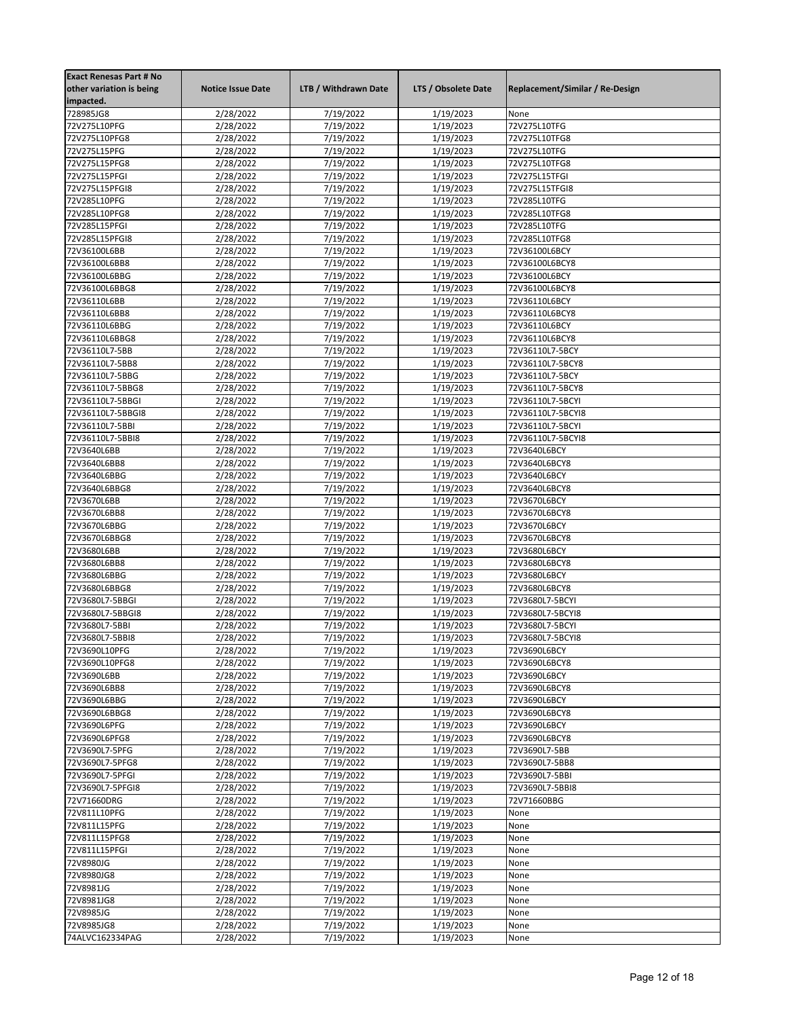| <b>Exact Renesas Part # No</b><br>other variation is being<br>impacted. | <b>Notice Issue Date</b> | LTB / Withdrawn Date   | LTS / Obsolete Date    | Replacement/Similar / Re-Design     |
|-------------------------------------------------------------------------|--------------------------|------------------------|------------------------|-------------------------------------|
| 728985JG8                                                               | 2/28/2022                | 7/19/2022              | 1/19/2023              | None                                |
| 72V275L10PFG                                                            | 2/28/2022                | 7/19/2022              | 1/19/2023              | 72V275L10TFG                        |
| 72V275L10PFG8                                                           | 2/28/2022                | 7/19/2022              | 1/19/2023              | 72V275L10TFG8                       |
| 72V275L15PFG                                                            | 2/28/2022                | 7/19/2022              | 1/19/2023              | 72V275L10TFG                        |
| 72V275L15PFG8                                                           | 2/28/2022                | 7/19/2022              | 1/19/2023              | 72V275L10TFG8                       |
| 72V275L15PFGI                                                           | 2/28/2022                | 7/19/2022              | 1/19/2023              | 72V275L15TFGI                       |
| 72V275L15PFGI8                                                          | 2/28/2022                | 7/19/2022              | 1/19/2023              | 72V275L15TFGI8                      |
| 72V285L10PFG                                                            | 2/28/2022                | 7/19/2022              | 1/19/2023              | 72V285L10TFG                        |
| 72V285L10PFG8                                                           | 2/28/2022                | 7/19/2022              | 1/19/2023              | 72V285L10TFG8                       |
| 72V285L15PFGI                                                           | 2/28/2022                | 7/19/2022              | 1/19/2023              | 72V285L10TFG                        |
| 72V285L15PFGI8                                                          | 2/28/2022                | 7/19/2022              | 1/19/2023              | 72V285L10TFG8                       |
| 72V36100L6BB                                                            | 2/28/2022                | 7/19/2022              | 1/19/2023              | 72V36100L6BCY                       |
| 72V36100L6BB8                                                           | 2/28/2022                | 7/19/2022              | 1/19/2023              | 72V36100L6BCY8                      |
| 72V36100L6BBG                                                           | 2/28/2022                | 7/19/2022              | 1/19/2023              | 72V36100L6BCY                       |
| 72V36100L6BBG8                                                          | 2/28/2022                | 7/19/2022              | 1/19/2023              | 72V36100L6BCY8                      |
| 72V36110L6BB                                                            | 2/28/2022                | 7/19/2022              | 1/19/2023              | 72V36110L6BCY                       |
| 72V36110L6BB8                                                           | 2/28/2022                | 7/19/2022              | 1/19/2023              | 72V36110L6BCY8                      |
| 72V36110L6BBG                                                           | 2/28/2022                | 7/19/2022              | 1/19/2023              | 72V36110L6BCY                       |
| 72V36110L6BBG8                                                          | 2/28/2022                | 7/19/2022              | 1/19/2023              | 72V36110L6BCY8                      |
| 72V36110L7-5BB                                                          | 2/28/2022                | 7/19/2022              | 1/19/2023              | 72V36110L7-5BCY                     |
| 72V36110L7-5BB8                                                         | 2/28/2022                | 7/19/2022              | 1/19/2023              | 72V36110L7-5BCY8                    |
| 72V36110L7-5BBG                                                         | 2/28/2022                | 7/19/2022              | 1/19/2023              | 72V36110L7-5BCY                     |
| 72V36110L7-5BBG8                                                        | 2/28/2022                | 7/19/2022              | 1/19/2023              | 72V36110L7-5BCY8                    |
| 72V36110L7-5BBGI                                                        | 2/28/2022                | 7/19/2022              | 1/19/2023              | 72V36110L7-5BCYI                    |
| 72V36110L7-5BBGI8                                                       | 2/28/2022                | 7/19/2022              | 1/19/2023              | 72V36110L7-5BCYI8                   |
| 72V36110L7-5BBI                                                         | 2/28/2022                | 7/19/2022              | 1/19/2023              | 72V36110L7-5BCYI                    |
| 72V36110L7-5BBI8                                                        | 2/28/2022                | 7/19/2022              | 1/19/2023              | 72V36110L7-5BCYI8                   |
| 72V3640L6BB                                                             | 2/28/2022                | 7/19/2022              | 1/19/2023              | 72V3640L6BCY                        |
| 72V3640L6BB8                                                            | 2/28/2022                | 7/19/2022              | 1/19/2023              | 72V3640L6BCY8                       |
| 72V3640L6BBG                                                            | 2/28/2022                | 7/19/2022              | 1/19/2023              | 72V3640L6BCY                        |
| 72V3640L6BBG8                                                           | 2/28/2022                | 7/19/2022              | 1/19/2023              | 72V3640L6BCY8                       |
| 72V3670L6BB                                                             | 2/28/2022                | 7/19/2022              | 1/19/2023              | 72V3670L6BCY                        |
| 72V3670L6BB8                                                            | 2/28/2022                | 7/19/2022              | 1/19/2023              | 72V3670L6BCY8                       |
| 72V3670L6BBG                                                            | 2/28/2022                | 7/19/2022              | 1/19/2023              | 72V3670L6BCY                        |
| 72V3670L6BBG8                                                           | 2/28/2022                | 7/19/2022              | 1/19/2023              | 72V3670L6BCY8                       |
| 72V3680L6BB                                                             | 2/28/2022                | 7/19/2022              | 1/19/2023              | 72V3680L6BCY                        |
| 72V3680L6BB8                                                            | 2/28/2022                | 7/19/2022              | 1/19/2023              | 72V3680L6BCY8<br>72V3680L6BCY       |
| 72V3680L6BBG<br>72V3680L6BBG8                                           | 2/28/2022                | 7/19/2022<br>7/19/2022 | 1/19/2023<br>1/19/2023 | 72V3680L6BCY8                       |
|                                                                         | 2/28/2022                |                        |                        |                                     |
| 72V3680L7-5BBGI<br>72V3680L7-5BBGI8                                     | 2/28/2022<br>2/28/2022   | 7/19/2022<br>7/19/2022 | 1/19/2023<br>1/19/2023 | 72V3680L7-5BCYI<br>72V3680L7-5BCYI8 |
| 72V3680L7-5BBI                                                          |                          | 7/19/2022              | 1/19/2023              | 72V3680L7-5BCYI                     |
| 72V3680L7-5BBI8                                                         | 2/28/2022<br>2/28/2022   | 7/19/2022              | 1/19/2023              | 72V3680L7-5BCYI8                    |
| 72V3690L10PFG                                                           | 2/28/2022                | 7/19/2022              | 1/19/2023              | 72V3690L6BCY                        |
| 72V3690L10PFG8                                                          | 2/28/2022                | 7/19/2022              | 1/19/2023              | 72V3690L6BCY8                       |
| 72V3690L6BB                                                             | 2/28/2022                | 7/19/2022              | 1/19/2023              | 72V3690L6BCY                        |
| 72V3690L6BB8                                                            | 2/28/2022                | 7/19/2022              | 1/19/2023              | 72V3690L6BCY8                       |
| 72V3690L6BBG                                                            | 2/28/2022                | 7/19/2022              | 1/19/2023              | 72V3690L6BCY                        |
| 72V3690L6BBG8                                                           | 2/28/2022                | 7/19/2022              | 1/19/2023              | 72V3690L6BCY8                       |
| 72V3690L6PFG                                                            | 2/28/2022                | 7/19/2022              | 1/19/2023              | 72V3690L6BCY                        |
| 72V3690L6PFG8                                                           | 2/28/2022                | 7/19/2022              | 1/19/2023              | 72V3690L6BCY8                       |
| 72V3690L7-5PFG                                                          | 2/28/2022                | 7/19/2022              | 1/19/2023              | 72V3690L7-5BB                       |
| 72V3690L7-5PFG8                                                         | 2/28/2022                | 7/19/2022              | 1/19/2023              | 72V3690L7-5BB8                      |
| 72V3690L7-5PFGI                                                         | 2/28/2022                | 7/19/2022              | 1/19/2023              | 72V3690L7-5BBI                      |
| 72V3690L7-5PFGI8                                                        | 2/28/2022                | 7/19/2022              | 1/19/2023              | 72V3690L7-5BBI8                     |
| 72V71660DRG                                                             | 2/28/2022                | 7/19/2022              | 1/19/2023              | 72V71660BBG                         |
| 72V811L10PFG                                                            | 2/28/2022                | 7/19/2022              | 1/19/2023              | None                                |
| 72V811L15PFG                                                            | 2/28/2022                | 7/19/2022              | 1/19/2023              | None                                |
| 72V811L15PFG8                                                           | 2/28/2022                | 7/19/2022              | 1/19/2023              | None                                |
| 72V811L15PFGI                                                           | 2/28/2022                | 7/19/2022              | 1/19/2023              | None                                |
| 72V8980JG                                                               | 2/28/2022                | 7/19/2022              | 1/19/2023              | None                                |
| 72V8980JG8                                                              | 2/28/2022                | 7/19/2022              | 1/19/2023              | None                                |
| 72V8981JG                                                               | 2/28/2022                | 7/19/2022              | 1/19/2023              | None                                |
| 72V8981JG8                                                              | 2/28/2022                | 7/19/2022              | 1/19/2023              | None                                |
| 72V8985JG                                                               | 2/28/2022                | 7/19/2022              | 1/19/2023              | None                                |
| 72V8985JG8                                                              | 2/28/2022                | 7/19/2022              | 1/19/2023              | None                                |
| 74ALVC162334PAG                                                         | 2/28/2022                | 7/19/2022              | 1/19/2023              | None                                |
|                                                                         |                          |                        |                        |                                     |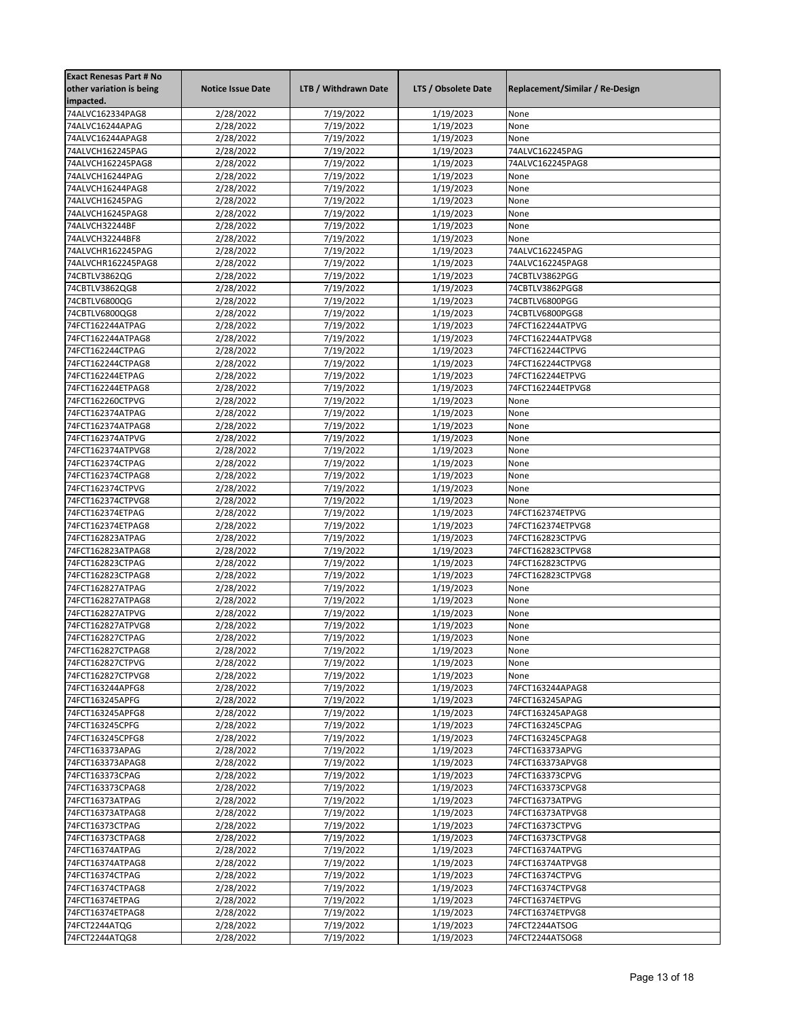| <b>Exact Renesas Part # No</b><br>other variation is being | <b>Notice Issue Date</b> | LTB / Withdrawn Date   | LTS / Obsolete Date    | Replacement/Similar / Re-Design       |
|------------------------------------------------------------|--------------------------|------------------------|------------------------|---------------------------------------|
| impacted.                                                  |                          |                        |                        |                                       |
| 74ALVC162334PAG8                                           | 2/28/2022                | 7/19/2022              | 1/19/2023              | None                                  |
| 74ALVC16244APAG                                            | 2/28/2022                | 7/19/2022              | 1/19/2023              | None                                  |
| 74ALVC16244APAG8                                           | 2/28/2022                | 7/19/2022              | 1/19/2023              | None                                  |
| 74ALVCH162245PAG                                           | 2/28/2022                | 7/19/2022              | 1/19/2023              | 74ALVC162245PAG                       |
| 74ALVCH162245PAG8                                          | 2/28/2022                | 7/19/2022              | 1/19/2023              | 74ALVC162245PAG8                      |
| 74ALVCH16244PAG                                            | 2/28/2022                | 7/19/2022              | 1/19/2023              | None                                  |
| 74ALVCH16244PAG8                                           | 2/28/2022                | 7/19/2022              | 1/19/2023              | None                                  |
| 74ALVCH16245PAG                                            | 2/28/2022                | 7/19/2022              | 1/19/2023              | None                                  |
| 74ALVCH16245PAG8                                           | 2/28/2022                | 7/19/2022              | 1/19/2023              | None                                  |
| 74ALVCH32244BF                                             | 2/28/2022                | 7/19/2022              | 1/19/2023              | None                                  |
| 74ALVCH32244BF8                                            | 2/28/2022                | 7/19/2022              | 1/19/2023              | None                                  |
| 74ALVCHR162245PAG                                          | 2/28/2022                | 7/19/2022              | 1/19/2023              | 74ALVC162245PAG                       |
| 74ALVCHR162245PAG8                                         | 2/28/2022                | 7/19/2022              | 1/19/2023              | 74ALVC162245PAG8                      |
| 74CBTLV3862QG                                              | 2/28/2022                | 7/19/2022              | 1/19/2023              | 74CBTLV3862PGG                        |
| 74CBTLV3862QG8                                             | 2/28/2022                | 7/19/2022              | 1/19/2023              | 74CBTLV3862PGG8                       |
| 74CBTLV6800QG<br>74CBTLV6800QG8                            | 2/28/2022<br>2/28/2022   | 7/19/2022<br>7/19/2022 | 1/19/2023<br>1/19/2023 | 74CBTLV6800PGG<br>74CBTLV6800PGG8     |
| 74FCT162244ATPAG                                           | 2/28/2022                | 7/19/2022              | 1/19/2023              | 74FCT162244ATPVG                      |
| 74FCT162244ATPAG8                                          | 2/28/2022                | 7/19/2022              | 1/19/2023              | 74FCT162244ATPVG8                     |
| 74FCT162244CTPAG                                           | 2/28/2022                | 7/19/2022              | 1/19/2023              | 74FCT162244CTPVG                      |
| 74FCT162244CTPAG8                                          | 2/28/2022                | 7/19/2022              | 1/19/2023              | 74FCT162244CTPVG8                     |
| 74FCT162244ETPAG                                           | 2/28/2022                | 7/19/2022              | 1/19/2023              | 74FCT162244ETPVG                      |
| 74FCT162244ETPAG8                                          | 2/28/2022                | 7/19/2022              | 1/19/2023              | 74FCT162244ETPVG8                     |
| 74FCT162260CTPVG                                           | 2/28/2022                | 7/19/2022              | 1/19/2023              | None                                  |
| 74FCT162374ATPAG                                           | 2/28/2022                | 7/19/2022              | 1/19/2023              | None                                  |
| 74FCT162374ATPAG8                                          | 2/28/2022                | 7/19/2022              | 1/19/2023              | None                                  |
| 74FCT162374ATPVG                                           | 2/28/2022                | 7/19/2022              | 1/19/2023              | None                                  |
| 74FCT162374ATPVG8                                          | 2/28/2022                | 7/19/2022              | 1/19/2023              | None                                  |
| 74FCT162374CTPAG                                           | 2/28/2022                | 7/19/2022              | 1/19/2023              | None                                  |
| 74FCT162374CTPAG8                                          | 2/28/2022                | 7/19/2022              | 1/19/2023              | None                                  |
| 74FCT162374CTPVG                                           | 2/28/2022                | 7/19/2022              | 1/19/2023              | None                                  |
| 74FCT162374CTPVG8                                          | 2/28/2022                | 7/19/2022              | 1/19/2023              | None                                  |
| 74FCT162374ETPAG<br>74FCT162374ETPAG8                      | 2/28/2022<br>2/28/2022   | 7/19/2022<br>7/19/2022 | 1/19/2023<br>1/19/2023 | 74FCT162374ETPVG<br>74FCT162374ETPVG8 |
| 74FCT162823ATPAG                                           | 2/28/2022                | 7/19/2022              | 1/19/2023              | 74FCT162823CTPVG                      |
| 74FCT162823ATPAG8                                          | 2/28/2022                | 7/19/2022              | 1/19/2023              | 74FCT162823CTPVG8                     |
| 74FCT162823CTPAG                                           | 2/28/2022                | 7/19/2022              | 1/19/2023              | 74FCT162823CTPVG                      |
| 74FCT162823CTPAG8                                          | 2/28/2022                | 7/19/2022              | 1/19/2023              | 74FCT162823CTPVG8                     |
| 74FCT162827ATPAG                                           | 2/28/2022                | 7/19/2022              | 1/19/2023              | None                                  |
| 74FCT162827ATPAG8                                          | 2/28/2022                | 7/19/2022              | 1/19/2023              | None                                  |
| 74FCT162827ATPVG                                           | 2/28/2022                | 7/19/2022              | 1/19/2023              | None                                  |
| 74FCT162827ATPVG8                                          | 2/28/2022                | 7/19/2022              | 1/19/2023              | None                                  |
| 74FCT162827CTPAG                                           | 2/28/2022                | 7/19/2022              | 1/19/2023              | None                                  |
| 74FCT162827CTPAG8                                          | 2/28/2022                | 7/19/2022              | 1/19/2023              | None                                  |
| 74FCT162827CTPVG                                           | 2/28/2022                | 7/19/2022              | 1/19/2023              | None                                  |
| 74FCT162827CTPVG8                                          | 2/28/2022                | 7/19/2022              | 1/19/2023              | None                                  |
| 74FCT163244APFG8                                           | 2/28/2022                | 7/19/2022              | 1/19/2023              | 74FCT163244APAG8                      |
| 74FCT163245APFG                                            | 2/28/2022                | 7/19/2022              | 1/19/2023              | 74FCT163245APAG                       |
| 74FCT163245APFG8                                           | 2/28/2022                | 7/19/2022              | 1/19/2023              | 74FCT163245APAG8                      |
| 74FCT163245CPFG<br>74FCT163245CPFG8                        | 2/28/2022<br>2/28/2022   | 7/19/2022<br>7/19/2022 | 1/19/2023<br>1/19/2023 | 74FCT163245CPAG                       |
| 74FCT163373APAG                                            | 2/28/2022                | 7/19/2022              | 1/19/2023              | 74FCT163245CPAG8<br>74FCT163373APVG   |
| 74FCT163373APAG8                                           | 2/28/2022                | 7/19/2022              | 1/19/2023              | 74FCT163373APVG8                      |
| 74FCT163373CPAG                                            | 2/28/2022                | 7/19/2022              | 1/19/2023              | 74FCT163373CPVG                       |
| 74FCT163373CPAG8                                           | 2/28/2022                | 7/19/2022              | 1/19/2023              | 74FCT163373CPVG8                      |
| 74FCT16373ATPAG                                            | 2/28/2022                | 7/19/2022              | 1/19/2023              | 74FCT16373ATPVG                       |
| 74FCT16373ATPAG8                                           | 2/28/2022                | 7/19/2022              | 1/19/2023              | 74FCT16373ATPVG8                      |
| 74FCT16373CTPAG                                            | 2/28/2022                | 7/19/2022              | 1/19/2023              | 74FCT16373CTPVG                       |
| 74FCT16373CTPAG8                                           | 2/28/2022                | 7/19/2022              | 1/19/2023              | 74FCT16373CTPVG8                      |
| 74FCT16374ATPAG                                            | 2/28/2022                | 7/19/2022              | 1/19/2023              | 74FCT16374ATPVG                       |
| 74FCT16374ATPAG8                                           | 2/28/2022                | 7/19/2022              | 1/19/2023              | 74FCT16374ATPVG8                      |
| 74FCT16374CTPAG                                            | 2/28/2022                | 7/19/2022              | 1/19/2023              | 74FCT16374CTPVG                       |
| 74FCT16374CTPAG8                                           | 2/28/2022                | 7/19/2022              | 1/19/2023              | 74FCT16374CTPVG8                      |
| 74FCT16374ETPAG                                            | 2/28/2022                | 7/19/2022              | 1/19/2023              | 74FCT16374ETPVG                       |
| 74FCT16374ETPAG8                                           | 2/28/2022                | 7/19/2022              | 1/19/2023              | 74FCT16374ETPVG8                      |
| 74FCT2244ATQG                                              | 2/28/2022                | 7/19/2022              | 1/19/2023              | 74FCT2244ATSOG                        |
| 74FCT2244ATQG8                                             | 2/28/2022                | 7/19/2022              | 1/19/2023              | 74FCT2244ATSOG8                       |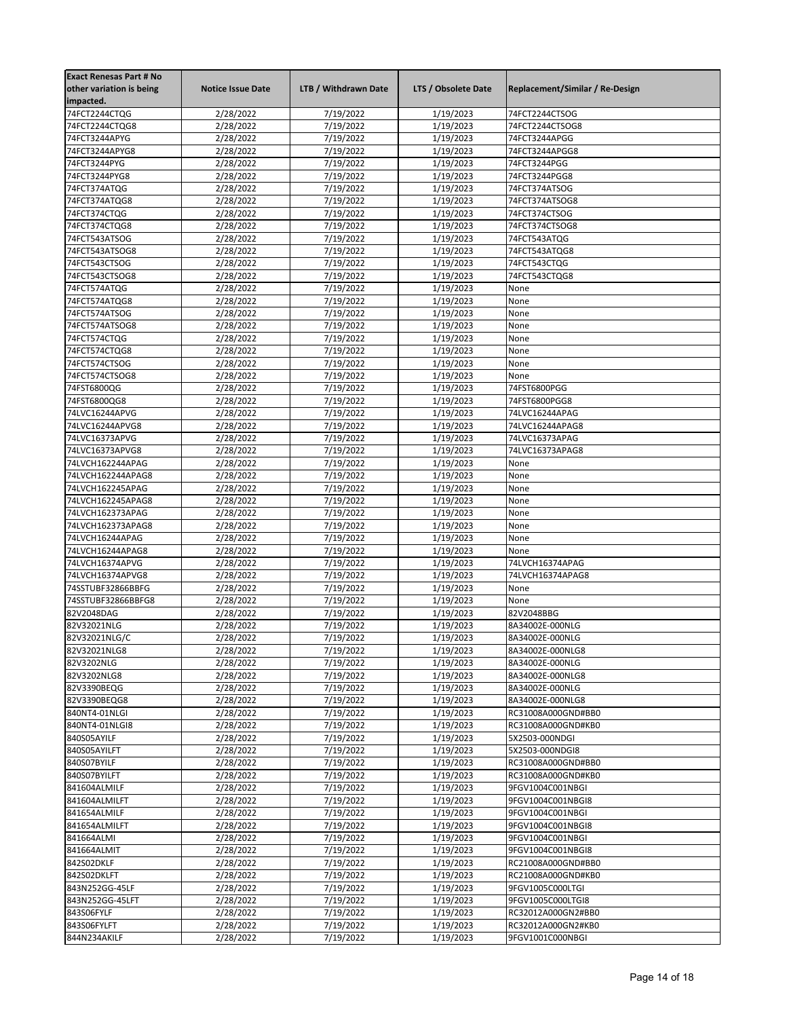| <b>Exact Renesas Part # No</b> |                          |                      |                     |                                 |
|--------------------------------|--------------------------|----------------------|---------------------|---------------------------------|
| other variation is being       | <b>Notice Issue Date</b> | LTB / Withdrawn Date | LTS / Obsolete Date | Replacement/Similar / Re-Design |
| impacted.                      |                          |                      |                     |                                 |
| 74FCT2244CTQG                  | 2/28/2022                | 7/19/2022            | 1/19/2023           | 74FCT2244CTSOG                  |
| 74FCT2244CTQG8                 | 2/28/2022                | 7/19/2022            | 1/19/2023           | 74FCT2244CTSOG8                 |
| 74FCT3244APYG                  | 2/28/2022                | 7/19/2022            | 1/19/2023           | 74FCT3244APGG                   |
|                                |                          |                      |                     |                                 |
| 74FCT3244APYG8                 | 2/28/2022                | 7/19/2022            | 1/19/2023           | 74FCT3244APGG8                  |
| 74FCT3244PYG                   | 2/28/2022                | 7/19/2022            | 1/19/2023           | 74FCT3244PGG                    |
| 74FCT3244PYG8                  | 2/28/2022                | 7/19/2022            | 1/19/2023           | 74FCT3244PGG8                   |
| 74FCT374ATQG                   | 2/28/2022                | 7/19/2022            | 1/19/2023           | 74FCT374ATSOG                   |
| 74FCT374ATQG8                  | 2/28/2022                | 7/19/2022            | 1/19/2023           | 74FCT374ATSOG8                  |
| 74FCT374CTQG                   | 2/28/2022                | 7/19/2022            | 1/19/2023           | 74FCT374CTSOG                   |
| 74FCT374CTQG8                  | 2/28/2022                | 7/19/2022            | 1/19/2023           | 74FCT374CTSOG8                  |
| 74FCT543ATSOG                  | 2/28/2022                | 7/19/2022            | 1/19/2023           | 74FCT543ATQG                    |
| 74FCT543ATSOG8                 | 2/28/2022                | 7/19/2022            | 1/19/2023           | 74FCT543ATQG8                   |
| 74FCT543CTSOG                  | 2/28/2022                | 7/19/2022            | 1/19/2023           | 74FCT543CTQG                    |
| 74FCT543CTSOG8                 | 2/28/2022                | 7/19/2022            | 1/19/2023           | 74FCT543CTQG8                   |
| 74FCT574ATQG                   | 2/28/2022                | 7/19/2022            | 1/19/2023           | None                            |
| 74FCT574ATQG8                  | 2/28/2022                | 7/19/2022            | 1/19/2023           | None                            |
| 74FCT574ATSOG                  | 2/28/2022                | 7/19/2022            | 1/19/2023           | None                            |
| 74FCT574ATSOG8                 | 2/28/2022                | 7/19/2022            | 1/19/2023           | None                            |
| 74FCT574CTQG                   | 2/28/2022                | 7/19/2022            | 1/19/2023           | None                            |
|                                |                          |                      |                     |                                 |
| 74FCT574CTQG8                  | 2/28/2022                | 7/19/2022            | 1/19/2023           | None                            |
| 74FCT574CTSOG                  | 2/28/2022                | 7/19/2022            | 1/19/2023           | None                            |
| 74FCT574CTSOG8                 | 2/28/2022                | 7/19/2022            | 1/19/2023           | None                            |
| 74FST6800QG                    | 2/28/2022                | 7/19/2022            | 1/19/2023           | 74FST6800PGG                    |
| 74FST6800QG8                   | 2/28/2022                | 7/19/2022            | 1/19/2023           | 74FST6800PGG8                   |
| 74LVC16244APVG                 | 2/28/2022                | 7/19/2022            | 1/19/2023           | 74LVC16244APAG                  |
| 74LVC16244APVG8                | 2/28/2022                | 7/19/2022            | 1/19/2023           | 74LVC16244APAG8                 |
| 74LVC16373APVG                 | 2/28/2022                | 7/19/2022            | 1/19/2023           | 74LVC16373APAG                  |
| 74LVC16373APVG8                | 2/28/2022                | 7/19/2022            | 1/19/2023           | 74LVC16373APAG8                 |
| 74LVCH162244APAG               | 2/28/2022                | 7/19/2022            | 1/19/2023           | None                            |
| 74LVCH162244APAG8              | 2/28/2022                | 7/19/2022            | 1/19/2023           | None                            |
| 74LVCH162245APAG               | 2/28/2022                | 7/19/2022            | 1/19/2023           | None                            |
| 74LVCH162245APAG8              | 2/28/2022                | 7/19/2022            | 1/19/2023           | None                            |
| 74LVCH162373APAG               | 2/28/2022                | 7/19/2022            | 1/19/2023           | None                            |
| 74LVCH162373APAG8              | 2/28/2022                | 7/19/2022            | 1/19/2023           | None                            |
| 74LVCH16244APAG                | 2/28/2022                | 7/19/2022            | 1/19/2023           | None                            |
| 74LVCH16244APAG8               | 2/28/2022                | 7/19/2022            | 1/19/2023           | None                            |
| 74LVCH16374APVG                | 2/28/2022                | 7/19/2022            | 1/19/2023           | 74LVCH16374APAG                 |
| 74LVCH16374APVG8               |                          | 7/19/2022            | 1/19/2023           | 74LVCH16374APAG8                |
| 74SSTUBF32866BBFG              | 2/28/2022                | 7/19/2022            |                     | None                            |
|                                | 2/28/2022                |                      | 1/19/2023           |                                 |
| 74SSTUBF32866BBFG8             | 2/28/2022                | 7/19/2022            | 1/19/2023           | None                            |
| 82V2048DAG                     | 2/28/2022                | 7/19/2022            | 1/19/2023           | 82V2048BBG                      |
| 82V32021NLG                    | 2/28/2022                | 7/19/2022            | 1/19/2023           | 8A34002E-000NLG                 |
| 82V32021NLG/C                  | 2/28/2022                | 7/19/2022            | 1/19/2023           | 8A34002E-000NLG                 |
| 82V32021NLG8                   | 2/28/2022                | 7/19/2022            | 1/19/2023           | 8A34002E-000NLG8                |
| 82V3202NLG                     | 2/28/2022                | 7/19/2022            | 1/19/2023           | 8A34002E-000NLG                 |
| 82V3202NLG8                    | 2/28/2022                | 7/19/2022            | 1/19/2023           | 8A34002E-000NLG8                |
| 82V3390BEQG                    | 2/28/2022                | 7/19/2022            | 1/19/2023           | 8A34002E-000NLG                 |
| 82V3390BEQG8                   | 2/28/2022                | 7/19/2022            | 1/19/2023           | 8A34002E-000NLG8                |
| 840NT4-01NLGI                  | 2/28/2022                | 7/19/2022            | 1/19/2023           | RC31008A000GND#BB0              |
| 840NT4-01NLGI8                 | 2/28/2022                | 7/19/2022            | 1/19/2023           | RC31008A000GND#KB0              |
| 840S05AYILF                    | 2/28/2022                | 7/19/2022            | 1/19/2023           | 5X2503-000NDGI                  |
| 840S05AYILFT                   | 2/28/2022                | 7/19/2022            | 1/19/2023           | 5X2503-000NDGI8                 |
| 840S07BYILF                    | 2/28/2022                | 7/19/2022            | 1/19/2023           | RC31008A000GND#BB0              |
| 840S07BYILFT                   | 2/28/2022                | 7/19/2022            | 1/19/2023           | RC31008A000GND#KB0              |
| 841604ALMILF                   | 2/28/2022                | 7/19/2022            | 1/19/2023           | 9FGV1004C001NBGI                |
| 841604ALMILFT                  | 2/28/2022                | 7/19/2022            | 1/19/2023           | 9FGV1004C001NBGI8               |
| 841654ALMILF                   | 2/28/2022                | 7/19/2022            | 1/19/2023           | 9FGV1004C001NBGI                |
| 841654ALMILFT                  | 2/28/2022                | 7/19/2022            | 1/19/2023           | 9FGV1004C001NBGI8               |
| 841664ALMI                     | 2/28/2022                | 7/19/2022            | 1/19/2023           | 9FGV1004C001NBGI                |
| 841664ALMIT                    | 2/28/2022                | 7/19/2022            | 1/19/2023           | 9FGV1004C001NBGI8               |
|                                |                          |                      |                     |                                 |
| 842S02DKLF                     | 2/28/2022                | 7/19/2022            | 1/19/2023           | RC21008A000GND#BB0              |
| 842S02DKLFT                    | 2/28/2022                | 7/19/2022            | 1/19/2023           | RC21008A000GND#KB0              |
| 843N252GG-45LF                 | 2/28/2022                | 7/19/2022            | 1/19/2023           | 9FGV1005C000LTGI                |
| 843N252GG-45LFT                | 2/28/2022                | 7/19/2022            | 1/19/2023           | 9FGV1005C000LTGI8               |
| 843S06FYLF                     | 2/28/2022                | 7/19/2022            | 1/19/2023           | RC32012A000GN2#BB0              |
| 843S06FYLFT                    | 2/28/2022                | 7/19/2022            | 1/19/2023           | RC32012A000GN2#KB0              |
| 844N234AKILF                   | 2/28/2022                | 7/19/2022            | 1/19/2023           | 9FGV1001C000NBGI                |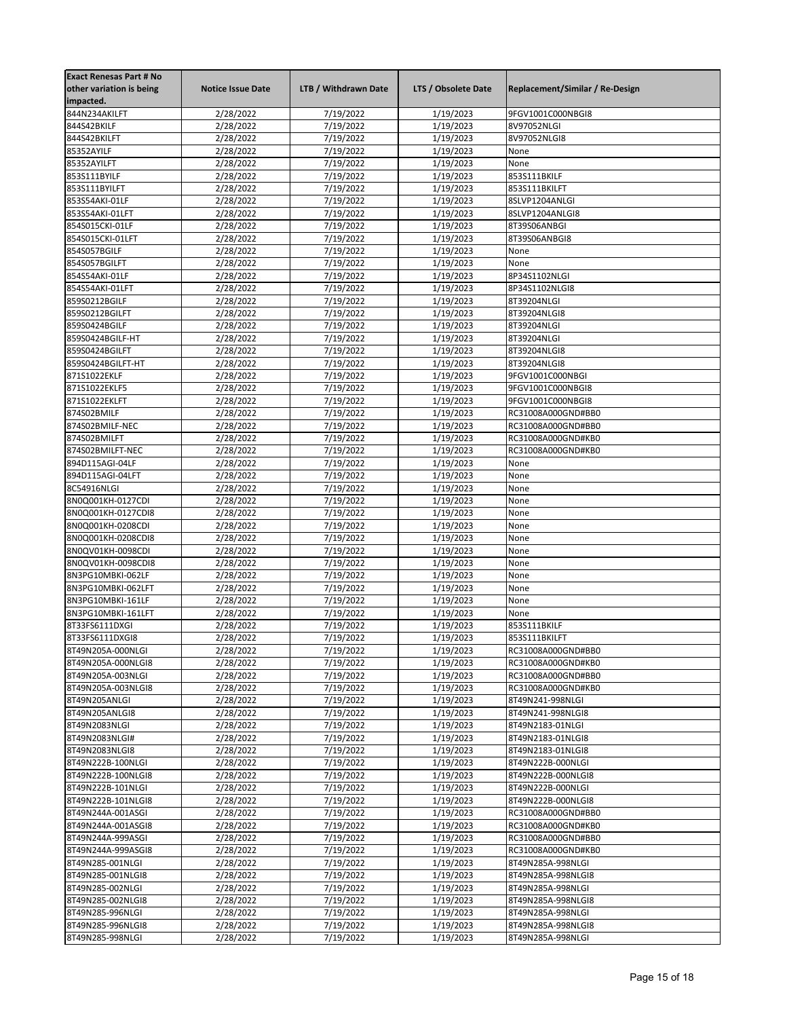| <b>Exact Renesas Part # No</b> |                          |                      |                     |                                 |
|--------------------------------|--------------------------|----------------------|---------------------|---------------------------------|
| other variation is being       | <b>Notice Issue Date</b> | LTB / Withdrawn Date | LTS / Obsolete Date | Replacement/Similar / Re-Design |
| impacted.                      |                          |                      |                     |                                 |
| 844N234AKILFT                  | 2/28/2022                | 7/19/2022            | 1/19/2023           | 9FGV1001C000NBGI8               |
| 844S42BKILF                    | 2/28/2022                | 7/19/2022            | 1/19/2023           | 8V97052NLGI                     |
| 844S42BKILFT                   | 2/28/2022                | 7/19/2022            | 1/19/2023           | 8V97052NLGI8                    |
| 85352AYILF                     |                          |                      | 1/19/2023           | None                            |
|                                | 2/28/2022                | 7/19/2022            |                     |                                 |
| 85352AYILFT                    | 2/28/2022                | 7/19/2022            | 1/19/2023           | None                            |
| 853S111BYILF                   | 2/28/2022                | 7/19/2022            | 1/19/2023           | 853S111BKILF                    |
| 853S111BYILFT                  | 2/28/2022                | 7/19/2022            | 1/19/2023           | 853S111BKILFT                   |
| 853S54AKI-01LF                 | 2/28/2022                | 7/19/2022            | 1/19/2023           | 8SLVP1204ANLGI                  |
| 853S54AKI-01LFT                | 2/28/2022                | 7/19/2022            | 1/19/2023           | 8SLVP1204ANLGI8                 |
| 854S015CKI-01LF                | 2/28/2022                | 7/19/2022            | 1/19/2023           | 8T39S06ANBGI                    |
| 854S015CKI-01LFT               | 2/28/2022                | 7/19/2022            | 1/19/2023           | 8T39S06ANBGI8                   |
| 854S057BGILF                   | 2/28/2022                | 7/19/2022            | 1/19/2023           | None                            |
| 854S057BGILFT                  | 2/28/2022                | 7/19/2022            | 1/19/2023           | None                            |
| 854S54AKI-01LF                 | 2/28/2022                | 7/19/2022            | 1/19/2023           | 8P34S1102NLGI                   |
| 854S54AKI-01LFT                | 2/28/2022                | 7/19/2022            | 1/19/2023           | 8P34S1102NLGI8                  |
|                                |                          |                      |                     |                                 |
| 859S0212BGILF                  | 2/28/2022                | 7/19/2022            | 1/19/2023           | 8T39204NLGI                     |
| 859S0212BGILFT                 | 2/28/2022                | 7/19/2022            | 1/19/2023           | 8T39204NLGI8                    |
| 859S0424BGILF                  | 2/28/2022                | 7/19/2022            | 1/19/2023           | 8T39204NLGI                     |
| 859S0424BGILF-HT               | 2/28/2022                | 7/19/2022            | 1/19/2023           | 8T39204NLGI                     |
| 859S0424BGILFT                 | 2/28/2022                | 7/19/2022            | 1/19/2023           | 8T39204NLGI8                    |
| 859S0424BGILFT-HT              | 2/28/2022                | 7/19/2022            | 1/19/2023           | 8T39204NLGI8                    |
| 871S1022EKLF                   | 2/28/2022                | 7/19/2022            | 1/19/2023           | 9FGV1001C000NBGI                |
| 871S1022EKLF5                  | 2/28/2022                | 7/19/2022            | 1/19/2023           | 9FGV1001C000NBGI8               |
| 871S1022EKLFT                  | 2/28/2022                | 7/19/2022            | 1/19/2023           | 9FGV1001C000NBGI8               |
| 874S02BMILF                    | 2/28/2022                | 7/19/2022            | 1/19/2023           | RC31008A000GND#BB0              |
| 874S02BMILF-NEC                | 2/28/2022                | 7/19/2022            | 1/19/2023           | RC31008A000GND#BB0              |
| 874S02BMILFT                   | 2/28/2022                | 7/19/2022            | 1/19/2023           | RC31008A000GND#KB0              |
| 874S02BMILFT-NEC               |                          |                      |                     | RC31008A000GND#KB0              |
|                                | 2/28/2022                | 7/19/2022            | 1/19/2023           |                                 |
| 894D115AGI-04LF                | 2/28/2022                | 7/19/2022            | 1/19/2023           | None                            |
| 894D115AGI-04LFT               | 2/28/2022                | 7/19/2022            | 1/19/2023           | None                            |
| 8C54916NLGI                    | 2/28/2022                | 7/19/2022            | 1/19/2023           | None                            |
| 8N0Q001KH-0127CDI              | 2/28/2022                | 7/19/2022            | 1/19/2023           | None                            |
| 8N0Q001KH-0127CDI8             | 2/28/2022                | 7/19/2022            | 1/19/2023           | None                            |
| 8N0Q001KH-0208CDI              | 2/28/2022                | 7/19/2022            | 1/19/2023           | None                            |
| 8N0Q001KH-0208CDI8             | 2/28/2022                | 7/19/2022            | 1/19/2023           | None                            |
| 8N0QV01KH-0098CDI              | 2/28/2022                | 7/19/2022            | 1/19/2023           | None                            |
| 8N0QV01KH-0098CDI8             | 2/28/2022                | 7/19/2022            | 1/19/2023           | None                            |
| 8N3PG10MBKI-062LF              | 2/28/2022                | 7/19/2022            | 1/19/2023           | None                            |
| 8N3PG10MBKI-062LFT             | 2/28/2022                | 7/19/2022            | 1/19/2023           | None                            |
| 8N3PG10MBKI-161LF              | 2/28/2022                | 7/19/2022            | 1/19/2023           | None                            |
| 8N3PG10MBKI-161LFT             | 2/28/2022                | 7/19/2022            | 1/19/2023           | None                            |
|                                |                          |                      |                     |                                 |
| 8T33FS6111DXGI                 | 2/28/2022                | 7/19/2022            | 1/19/2023           | 853S111BKILF                    |
| 8T33FS6111DXGI8                | 2/28/2022                | 7/19/2022            | 1/19/2023           | 853S111BKILFT                   |
| 8T49N205A-000NLGI              | 2/28/2022                | 7/19/2022            | 1/19/2023           | RC31008A000GND#BB0              |
| 8T49N205A-000NLGI8             | 2/28/2022                | 7/19/2022            | 1/19/2023           | RC31008A000GND#KB0              |
| 8T49N205A-003NLGI              | 2/28/2022                | 7/19/2022            | 1/19/2023           | RC31008A000GND#BB0              |
| 8T49N205A-003NLGI8             | 2/28/2022                | 7/19/2022            | 1/19/2023           | RC31008A000GND#KB0              |
| 8T49N205ANLGI                  | 2/28/2022                | 7/19/2022            | 1/19/2023           | 8T49N241-998NLGI                |
| 8T49N205ANLGI8                 | 2/28/2022                | 7/19/2022            | 1/19/2023           | 8T49N241-998NLGI8               |
| 8T49N2083NLGI                  | 2/28/2022                | 7/19/2022            | 1/19/2023           | 8T49N2183-01NLGI                |
| 8T49N2083NLGI#                 | 2/28/2022                | 7/19/2022            | 1/19/2023           | 8T49N2183-01NLGI8               |
| 8T49N2083NLGI8                 | 2/28/2022                | 7/19/2022            | 1/19/2023           | 8T49N2183-01NLGI8               |
| 8T49N222B-100NLGI              | 2/28/2022                | 7/19/2022            | 1/19/2023           | 8T49N222B-000NLGI               |
| 8T49N222B-100NLGI8             | 2/28/2022                | 7/19/2022            | 1/19/2023           | 8T49N222B-000NLGI8              |
| 8T49N222B-101NLGI              |                          | 7/19/2022            | 1/19/2023           |                                 |
| 8T49N222B-101NLGI8             | 2/28/2022<br>2/28/2022   | 7/19/2022            | 1/19/2023           | 8T49N222B-000NLGI               |
|                                |                          |                      |                     | 8T49N222B-000NLGI8              |
| 8T49N244A-001ASGI              | 2/28/2022                | 7/19/2022            | 1/19/2023           | RC31008A000GND#BB0              |
| 8T49N244A-001ASGI8             | 2/28/2022                | 7/19/2022            | 1/19/2023           | RC31008A000GND#KB0              |
| 8T49N244A-999ASGI              | 2/28/2022                | 7/19/2022            | 1/19/2023           | RC31008A000GND#BB0              |
| 8T49N244A-999ASGI8             | 2/28/2022                | 7/19/2022            | 1/19/2023           | RC31008A000GND#KB0              |
| 8T49N285-001NLGI               | 2/28/2022                | 7/19/2022            | 1/19/2023           | 8T49N285A-998NLGI               |
| 8T49N285-001NLGI8              | 2/28/2022                | 7/19/2022            | 1/19/2023           | 8T49N285A-998NLGI8              |
| 8T49N285-002NLGI               | 2/28/2022                | 7/19/2022            | 1/19/2023           | 8T49N285A-998NLGI               |
| 8T49N285-002NLGI8              | 2/28/2022                | 7/19/2022            | 1/19/2023           | 8T49N285A-998NLGI8              |
| 8T49N285-996NLGI               | 2/28/2022                | 7/19/2022            | 1/19/2023           | 8T49N285A-998NLGI               |
| 8T49N285-996NLGI8              | 2/28/2022                | 7/19/2022            | 1/19/2023           | 8T49N285A-998NLGI8              |
| 8T49N285-998NLGI               | 2/28/2022                | 7/19/2022            | 1/19/2023           | 8T49N285A-998NLGI               |
|                                |                          |                      |                     |                                 |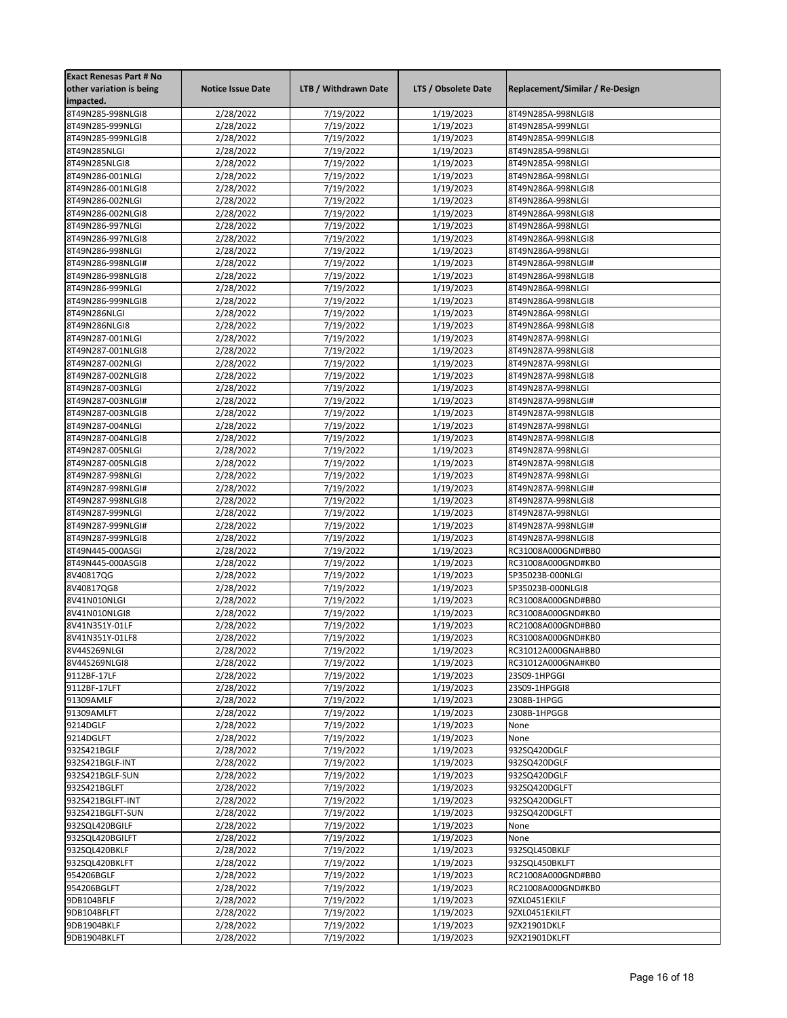| <b>Exact Renesas Part # No</b><br>other variation is being | <b>Notice Issue Date</b> | LTB / Withdrawn Date   | LTS / Obsolete Date    | Replacement/Similar / Re-Design          |
|------------------------------------------------------------|--------------------------|------------------------|------------------------|------------------------------------------|
| impacted.                                                  |                          |                        |                        |                                          |
| 8T49N285-998NLGI8                                          | 2/28/2022                | 7/19/2022              | 1/19/2023              | 8T49N285A-998NLGI8                       |
| 8T49N285-999NLGI                                           | 2/28/2022                | 7/19/2022              | 1/19/2023              | 8T49N285A-999NLGI                        |
| 8T49N285-999NLGI8                                          | 2/28/2022                | 7/19/2022              | 1/19/2023              | 8T49N285A-999NLGI8                       |
| 8T49N285NLGI                                               | 2/28/2022                | 7/19/2022              | 1/19/2023              | 8T49N285A-998NLGI                        |
| 8T49N285NLGI8                                              | 2/28/2022                | 7/19/2022              | 1/19/2023              | 8T49N285A-998NLGI                        |
| 8T49N286-001NLGI                                           | 2/28/2022                | 7/19/2022              | 1/19/2023              | 8T49N286A-998NLGI                        |
| 8T49N286-001NLGI8                                          | 2/28/2022                | 7/19/2022              | 1/19/2023              | 8T49N286A-998NLGI8                       |
| 8T49N286-002NLGI                                           | 2/28/2022                | 7/19/2022              | 1/19/2023              | 8T49N286A-998NLGI                        |
| 8T49N286-002NLGI8                                          | 2/28/2022                | 7/19/2022              | 1/19/2023              | 8T49N286A-998NLGI8                       |
| 8T49N286-997NLGI                                           | 2/28/2022                | 7/19/2022              | 1/19/2023              | 8T49N286A-998NLGI                        |
| 8T49N286-997NLGI8                                          | 2/28/2022                | 7/19/2022              | 1/19/2023              | 8T49N286A-998NLGI8                       |
| 8T49N286-998NLGI                                           | 2/28/2022                | 7/19/2022              | 1/19/2023              | 8T49N286A-998NLGI                        |
| 8T49N286-998NLGI#                                          | 2/28/2022                | 7/19/2022              | 1/19/2023              | 8T49N286A-998NLGI#                       |
| 8T49N286-998NLGI8                                          | 2/28/2022                | 7/19/2022              | 1/19/2023              | 8T49N286A-998NLGI8                       |
| 8T49N286-999NLGI                                           | 2/28/2022                | 7/19/2022              | 1/19/2023              | 8T49N286A-998NLGI                        |
| 8T49N286-999NLGI8                                          | 2/28/2022                | 7/19/2022              | 1/19/2023              | 8T49N286A-998NLGI8                       |
| 8T49N286NLGI                                               | 2/28/2022                | 7/19/2022              | 1/19/2023              | 8T49N286A-998NLGI                        |
| 8T49N286NLGI8                                              | 2/28/2022                | 7/19/2022              | 1/19/2023              | 8T49N286A-998NLGI8                       |
| 8T49N287-001NLGI                                           | 2/28/2022                | 7/19/2022              | 1/19/2023              | 8T49N287A-998NLGI                        |
| 8T49N287-001NLGI8                                          | 2/28/2022                | 7/19/2022              | 1/19/2023              | 8T49N287A-998NLGI8                       |
| 8T49N287-002NLGI                                           | 2/28/2022                | 7/19/2022              | 1/19/2023              | 8T49N287A-998NLGI                        |
| 8T49N287-002NLGI8                                          | 2/28/2022                | 7/19/2022              | 1/19/2023              | 8T49N287A-998NLGI8                       |
| 8T49N287-003NLGI                                           | 2/28/2022                | 7/19/2022              | 1/19/2023              | 8T49N287A-998NLGI                        |
| 8T49N287-003NLGI#                                          | 2/28/2022                | 7/19/2022              | 1/19/2023              | 8T49N287A-998NLGI#                       |
| 8T49N287-003NLGI8                                          | 2/28/2022                | 7/19/2022              | 1/19/2023              | 8T49N287A-998NLGI8                       |
| 8T49N287-004NLGI                                           | 2/28/2022                | 7/19/2022              | 1/19/2023              | 8T49N287A-998NLGI                        |
| 8T49N287-004NLGI8                                          | 2/28/2022                | 7/19/2022              | 1/19/2023              | 8T49N287A-998NLGI8                       |
| 8T49N287-005NLGI                                           | 2/28/2022                | 7/19/2022              | 1/19/2023              | 8T49N287A-998NLGI                        |
| 8T49N287-005NLGI8                                          | 2/28/2022                | 7/19/2022              | 1/19/2023              | 8T49N287A-998NLGI8                       |
| 8T49N287-998NLGI                                           | 2/28/2022                | 7/19/2022              | 1/19/2023              | 8T49N287A-998NLGI                        |
| 8T49N287-998NLGI#                                          | 2/28/2022                | 7/19/2022              | 1/19/2023              | 8T49N287A-998NLGI#                       |
| 8T49N287-998NLGI8                                          | 2/28/2022                | 7/19/2022              | 1/19/2023              | 8T49N287A-998NLGI8                       |
| 8T49N287-999NLGI                                           | 2/28/2022                | 7/19/2022              | 1/19/2023              | 8T49N287A-998NLGI                        |
| 8T49N287-999NLGI#                                          | 2/28/2022                | 7/19/2022              | 1/19/2023              | 8T49N287A-998NLGI#                       |
| 8T49N287-999NLGI8                                          | 2/28/2022                | 7/19/2022              | 1/19/2023              | 8T49N287A-998NLGI8                       |
| 8T49N445-000ASGI                                           | 2/28/2022                | 7/19/2022              | 1/19/2023              | RC31008A000GND#BB0                       |
| 8T49N445-000ASGI8                                          | 2/28/2022                | 7/19/2022              | 1/19/2023              | RC31008A000GND#KB0                       |
| 8V40817QG                                                  | 2/28/2022                | 7/19/2022              | 1/19/2023              | 5P35023B-000NLGI                         |
| 8V40817QG8                                                 | 2/28/2022                | 7/19/2022              | 1/19/2023              | 5P35023B-000NLGI8                        |
| 8V41N010NLGI                                               | 2/28/2022                | 7/19/2022              | 1/19/2023              | RC31008A000GND#BB0                       |
| 8V41N010NLGI8                                              | 2/28/2022                | 7/19/2022              | 1/19/2023              | RC31008A000GND#KB0                       |
| 8V41N351Y-01LF                                             | 2/28/2022<br>2/28/2022   | 7/19/2022              | 1/19/2023              | RC21008A000GND#BB0<br>RC31008A000GND#KB0 |
| 8V41N351Y-01LF8                                            |                          | 7/19/2022<br>7/19/2022 | 1/19/2023<br>1/19/2023 | RC31012A000GNA#BB0                       |
| 8V44S269NLGI<br>8V44S269NLGI8                              | 2/28/2022<br>2/28/2022   | 7/19/2022              |                        |                                          |
| 9112BF-17LF                                                | 2/28/2022                | 7/19/2022              | 1/19/2023<br>1/19/2023 | RC31012A000GNA#KB0<br>23S09-1HPGGI       |
| 9112BF-17LFT                                               | 2/28/2022                | 7/19/2022              | 1/19/2023              | 23S09-1HPGGI8                            |
| 91309AMLF                                                  | 2/28/2022                | 7/19/2022              | 1/19/2023              | 2308B-1HPGG                              |
| 91309AMLFT                                                 | 2/28/2022                | 7/19/2022              | 1/19/2023              | 2308B-1HPGG8                             |
| 9214DGLF                                                   | 2/28/2022                | 7/19/2022              | 1/19/2023              | None                                     |
| 9214DGLFT                                                  | 2/28/2022                | 7/19/2022              | 1/19/2023              | None                                     |
| 932S421BGLF                                                | 2/28/2022                | 7/19/2022              | 1/19/2023              | 932SQ420DGLF                             |
| 932S421BGLF-INT                                            | 2/28/2022                | 7/19/2022              | 1/19/2023              | 932SQ420DGLF                             |
| 932S421BGLF-SUN                                            | 2/28/2022                | 7/19/2022              | 1/19/2023              | 932SQ420DGLF                             |
| 932S421BGLFT                                               | 2/28/2022                | 7/19/2022              | 1/19/2023              | 932SQ420DGLFT                            |
| 932S421BGLFT-INT                                           | 2/28/2022                | 7/19/2022              | 1/19/2023              | 932SQ420DGLFT                            |
| 932S421BGLFT-SUN                                           | 2/28/2022                | 7/19/2022              | 1/19/2023              | 932SQ420DGLFT                            |
| 932SQL420BGILF                                             | 2/28/2022                | 7/19/2022              | 1/19/2023              | None                                     |
| 932SQL420BGILFT                                            | 2/28/2022                | 7/19/2022              | 1/19/2023              | None                                     |
| 932SQL420BKLF                                              | 2/28/2022                | 7/19/2022              | 1/19/2023              | 932SQL450BKLF                            |
| 932SQL420BKLFT                                             | 2/28/2022                | 7/19/2022              | 1/19/2023              | 932SQL450BKLFT                           |
| 954206BGLF                                                 | 2/28/2022                | 7/19/2022              | 1/19/2023              | RC21008A000GND#BB0                       |
| 954206BGLFT                                                |                          | 7/19/2022              | 1/19/2023              | RC21008A000GND#KB0                       |
| 9DB104BFLF                                                 | 2/28/2022<br>2/28/2022   | 7/19/2022              | 1/19/2023              | 9ZXL0451EKILF                            |
| 9DB104BFLFT                                                | 2/28/2022                | 7/19/2022              | 1/19/2023              | 9ZXL0451EKILFT                           |
| 9DB1904BKLF                                                | 2/28/2022                | 7/19/2022              | 1/19/2023              | 9ZX21901DKLF                             |
| 9DB1904BKLFT                                               | 2/28/2022                | 7/19/2022              | 1/19/2023              | 9ZX21901DKLFT                            |
|                                                            |                          |                        |                        |                                          |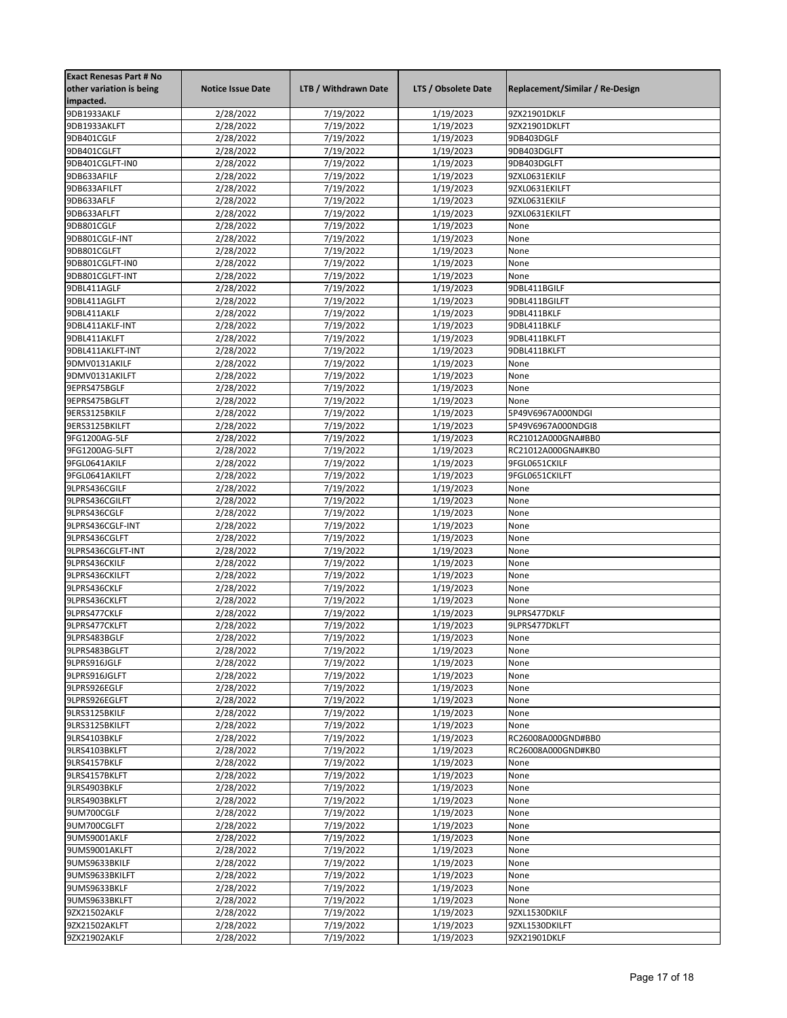| <b>Exact Renesas Part # No</b> |                          |                        |                     |                                 |
|--------------------------------|--------------------------|------------------------|---------------------|---------------------------------|
| other variation is being       | <b>Notice Issue Date</b> | LTB / Withdrawn Date   | LTS / Obsolete Date | Replacement/Similar / Re-Design |
| impacted.                      |                          |                        |                     |                                 |
| 9DB1933AKLF                    | 2/28/2022                | 7/19/2022              | 1/19/2023           | 9ZX21901DKLF                    |
| 9DB1933AKLFT                   | 2/28/2022                | 7/19/2022              | 1/19/2023           | 9ZX21901DKLFT                   |
| 9DB401CGLF                     | 2/28/2022                | 7/19/2022              | 1/19/2023           | 9DB403DGLF                      |
| 9DB401CGLFT                    | 2/28/2022                | 7/19/2022              | 1/19/2023           | 9DB403DGLFT                     |
| 9DB401CGLFT-IN0                | 2/28/2022                | 7/19/2022              | 1/19/2023           | 9DB403DGLFT                     |
| 9DB633AFILF                    | 2/28/2022                | 7/19/2022              | 1/19/2023           | 9ZXL0631EKILF                   |
| 9DB633AFILFT                   | 2/28/2022                | 7/19/2022              | 1/19/2023           | 9ZXL0631EKILFT                  |
| 9DB633AFLF                     | 2/28/2022                | 7/19/2022              | 1/19/2023           | 9ZXL0631EKILF                   |
| 9DB633AFLFT                    | 2/28/2022                | 7/19/2022              | 1/19/2023           | 9ZXL0631EKILFT                  |
| 9DB801CGLF                     | 2/28/2022                | 7/19/2022              | 1/19/2023           | None                            |
| 9DB801CGLF-INT                 | 2/28/2022                | $\frac{1}{7}{19}/2022$ | 1/19/2023           | None                            |
| 9DB801CGLFT                    | 2/28/2022                | 7/19/2022              | 1/19/2023           | None                            |
| 9DB801CGLFT-IN0                | 2/28/2022                | 7/19/2022              | 1/19/2023           | None                            |
| 9DB801CGLFT-INT                | 2/28/2022                | 7/19/2022              | 1/19/2023           | None                            |
|                                |                          | 7/19/2022              | 1/19/2023           |                                 |
| 9DBL411AGLF                    | 2/28/2022                |                        |                     | 9DBL411BGILF                    |
| 9DBL411AGLFT                   | 2/28/2022                | 7/19/2022              | 1/19/2023           | 9DBL411BGILFT                   |
| 9DBL411AKLF                    | 2/28/2022                | 7/19/2022              | 1/19/2023           | 9DBL411BKLF                     |
| 9DBL411AKLF-INT                | 2/28/2022                | 7/19/2022              | 1/19/2023           | 9DBL411BKLF                     |
| 9DBL411AKLFT                   | 2/28/2022                | 7/19/2022              | 1/19/2023           | 9DBL411BKLFT                    |
| 9DBL411AKLFT-INT               | 2/28/2022                | 7/19/2022              | 1/19/2023           | 9DBL411BKLFT                    |
| 9DMV0131AKILF                  | 2/28/2022                | 7/19/2022              | 1/19/2023           | None                            |
| 9DMV0131AKILFT                 | 2/28/2022                | 7/19/2022              | 1/19/2023           | None                            |
| 9EPRS475BGLF                   | 2/28/2022                | 7/19/2022              | 1/19/2023           | None                            |
| 9EPRS475BGLFT                  | 2/28/2022                | 7/19/2022              | 1/19/2023           | None                            |
| 9ERS3125BKILF                  | 2/28/2022                | 7/19/2022              | 1/19/2023           | 5P49V6967A000NDGI               |
| 9ERS3125BKILFT                 | 2/28/2022                | 7/19/2022              | 1/19/2023           | 5P49V6967A000NDGI8              |
| 9FG1200AG-5LF                  | 2/28/2022                | 7/19/2022              | 1/19/2023           | RC21012A000GNA#BB0              |
| 9FG1200AG-5LFT                 | 2/28/2022                | 7/19/2022              | 1/19/2023           | RC21012A000GNA#KB0              |
| 9FGL0641AKILF                  | 2/28/2022                | 7/19/2022              | 1/19/2023           | 9FGL0651CKILF                   |
| 9FGL0641AKILFT                 | 2/28/2022                | 7/19/2022              | 1/19/2023           | 9FGL0651CKILFT                  |
| 9LPRS436CGILF                  | 2/28/2022                | 7/19/2022              | 1/19/2023           | None                            |
| 9LPRS436CGILFT                 | 2/28/2022                | 7/19/2022              | 1/19/2023           | None                            |
| 9LPRS436CGLF                   | 2/28/2022                | 7/19/2022              | 1/19/2023           | None                            |
| 9LPRS436CGLF-INT               | 2/28/2022                | 7/19/2022              | 1/19/2023           | None                            |
| 9LPRS436CGLFT                  | 2/28/2022                | 7/19/2022              | 1/19/2023           | None                            |
| 9LPRS436CGLFT-INT              | 2/28/2022                | 7/19/2022              | 1/19/2023           | None                            |
| 9LPRS436CKILF                  | 2/28/2022                | 7/19/2022              | 1/19/2023           | None                            |
| 9LPRS436CKILFT                 | 2/28/2022                | 7/19/2022              | 1/19/2023           | None                            |
| 9LPRS436CKLF                   | 2/28/2022                | 7/19/2022              | 1/19/2023           | None                            |
| 9LPRS436CKLFT                  | 2/28/2022                | 7/19/2022              | 1/19/2023           | None                            |
| 9LPRS477CKLF                   | 2/28/2022                | 7/19/2022              | 1/19/2023           | 9LPRS477DKLF                    |
| 9LPRS477CKLFT                  | 2/28/2022                | 7/19/2022              | 1/19/2023           | 9LPRS477DKLFT                   |
| 9LPRS483BGLF                   | 2/28/2022                | 7/19/2022              | 1/19/2023           | None                            |
| 9LPRS483BGLFT                  | 2/28/2022                | 7/19/2022              | 1/19/2023           | None                            |
| 9LPRS916JGLF                   | 2/28/2022                | 7/19/2022              | 1/19/2023           | None                            |
| 9LPRS916JGLFT                  | 2/28/2022                | 7/19/2022              | 1/19/2023           | None                            |
| 9LPRS926EGLF                   | 2/28/2022                | 7/19/2022              | 1/19/2023           | None                            |
| 9LPRS926EGLFT                  | 2/28/2022                | 7/19/2022              | 1/19/2023           | None                            |
| 9LRS3125BKILF                  | 2/28/2022                | 7/19/2022              | 1/19/2023           | None                            |
| 9LRS3125BKILFT                 | 2/28/2022                | 7/19/2022              | 1/19/2023           | None                            |
| 9LRS4103BKLF                   | 2/28/2022                | 7/19/2022              | 1/19/2023           | RC26008A000GND#BB0              |
| 9LRS4103BKLFT                  | 2/28/2022                | 7/19/2022              | 1/19/2023           | RC26008A000GND#KB0              |
| 9LRS4157BKLF                   | 2/28/2022                | 7/19/2022              | 1/19/2023           | None                            |
| 9LRS4157BKLFT                  | 2/28/2022                | 7/19/2022              | 1/19/2023           | None                            |
| 9LRS4903BKLF                   |                          |                        |                     |                                 |
|                                | 2/28/2022                | 7/19/2022<br>7/19/2022 | 1/19/2023           | None<br>None                    |
| 9LRS4903BKLFT                  | 2/28/2022                |                        | 1/19/2023           |                                 |
| 9UM700CGLF                     | 2/28/2022                | 7/19/2022              | 1/19/2023           | None                            |
| 9UM700CGLFT                    | 2/28/2022                | 7/19/2022              | 1/19/2023           | None                            |
| 9UMS9001AKLF                   | 2/28/2022                | 7/19/2022              | 1/19/2023           | None                            |
| 9UMS9001AKLFT                  | 2/28/2022                | 7/19/2022              | 1/19/2023           | None                            |
| 9UMS9633BKILF                  | 2/28/2022                | 7/19/2022              | 1/19/2023           | None                            |
| 9UMS9633BKILFT                 | 2/28/2022                | 7/19/2022              | 1/19/2023           | None                            |
| 9UMS9633BKLF                   | 2/28/2022                | 7/19/2022              | 1/19/2023           | None                            |
| 9UMS9633BKLFT                  | 2/28/2022                | 7/19/2022              | 1/19/2023           | None                            |
| 9ZX21502AKLF                   | 2/28/2022                | 7/19/2022              | 1/19/2023           | 9ZXL1530DKILF                   |
| 9ZX21502AKLFT                  | 2/28/2022                | 7/19/2022              | 1/19/2023           | 9ZXL1530DKILFT                  |
| 9ZX21902AKLF                   | 2/28/2022                | 7/19/2022              | 1/19/2023           | 9ZX21901DKLF                    |